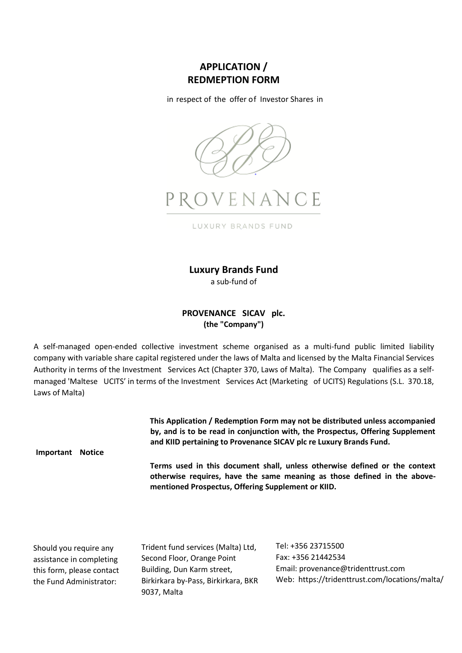# **APPLICATION / REDMEPTION FORM**

in respect of the offer of Investor Shares in



**Luxury Brands Fund**

a sub-fund of

# **PROVENANCE SICAV plc. (the "Company")**

A self-managed open-ended collective investment scheme organised as a multi-fund public limited liability company with variable share capital registered under the laws of Malta and licensed by the Malta Financial Services Authority in terms of the Investment Services Act (Chapter 370, Laws of Malta). The Company qualifies as a selfmanaged 'Maltese UCITS' in terms of the Investment Services Act (Marketing of UCITS) Regulations (S.L. 370.18, Laws of Malta)

> **This Application / Redemption Form may not be distributed unless accompanied by, and is to be read in conjunction with, the Prospectus, Offering Supplement and KIID pertaining to Provenance SICAV plc re Luxury Brands Fund.**

**Important Notice**

**Terms used in this document shall, unless otherwise defined or the context otherwise requires, have the same meaning as those defined in the abovementioned Prospectus, Offering Supplement or KIID.**

Should you require any assistance in completing this form, please contact the Fund Administrator:

Trident fund services (Malta) Ltd, Second Floor, Orange Point Building, Dun Karm street, Birkirkara by-Pass, Birkirkara, BKR 9037, Malta

Tel: +356 23715500 Fax: +356 21442534 Email: [provenance@tridenttrust.com](mailto:provenance@tridenttrust.com)  Web: https://tridenttrust.com/locations/malta/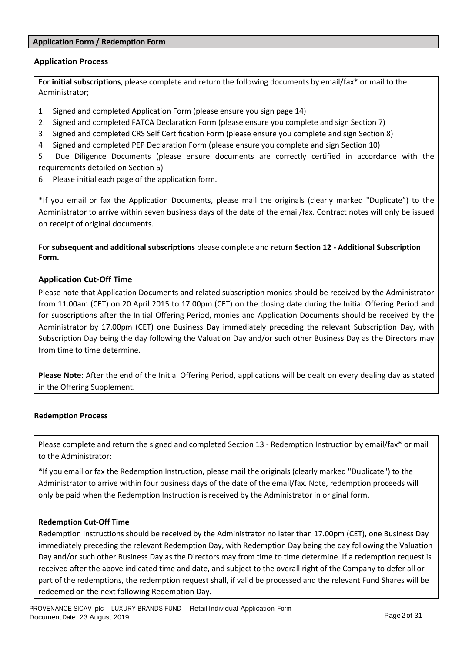# **Application Form / Redemption Form**

# **Application Process**

For **initial subscriptions**, please complete and return the following documents by email/fax\* or mail to the Administrator;

- 1. Signed and completed Application Form (please ensure you sign page 14)
- 2. Signed and completed FATCA Declaration Form (please ensure you complete and sign Section 7)
- 3. Signed and completed CRS Self Certification Form (please ensure you complete and sign Section 8)
- 4. Signed and completed PEP Declaration Form (please ensure you complete and sign Section 10)

5. Due Diligence Documents (please ensure documents are correctly certified in accordance with the requirements detailed on Section 5)

6. Please initial each page of the application form.

\*If you email or fax the Application Documents, please mail the originals (clearly marked "Duplicate") to the Administrator to arrive within seven business days of the date of the email/fax. Contract notes will only be issued on receipt of original documents.

For **subsequent and additional subscriptions** please complete and return **Section 12 - Additional Subscription Form.**

# **Application Cut-Off Time**

Please note that Application Documents and related subscription monies should be received by the Administrator from 11.00am (CET) on 20 April 2015 to 17.00pm (CET) on the closing date during the Initial Offering Period and for subscriptions after the Initial Offering Period, monies and Application Documents should be received by the Administrator by 17.00pm (CET) one Business Day immediately preceding the relevant Subscription Day, with Subscription Day being the day following the Valuation Day and/or such other Business Day as the Directors may from time to time determine.

**Please Note:** After the end of the Initial Offering Period, applications will be dealt on every dealing day as stated in the Offering Supplement.

# **Redemption Process**

Please complete and return the signed and completed Section 13 - Redemption Instruction by email/fax\* or mail to the Administrator;

\*If you email or fax the Redemption Instruction, please mail the originals (clearly marked "Duplicate") to the Administrator to arrive within four business days of the date of the email/fax. Note, redemption proceeds will only be paid when the Redemption Instruction is received by the Administrator in original form.

# **Redemption Cut-Off Time**

Redemption Instructions should be received by the Administrator no later than 17.00pm (CET), one Business Day immediately preceding the relevant Redemption Day, with Redemption Day being the day following the Valuation Day and/or such other Business Day as the Directors may from time to time determine. If a redemption request is received after the above indicated time and date, and subject to the overall right of the Company to defer all or part of the redemptions, the redemption request shall, if valid be processed and the relevant Fund Shares will be redeemed on the next following Redemption Day.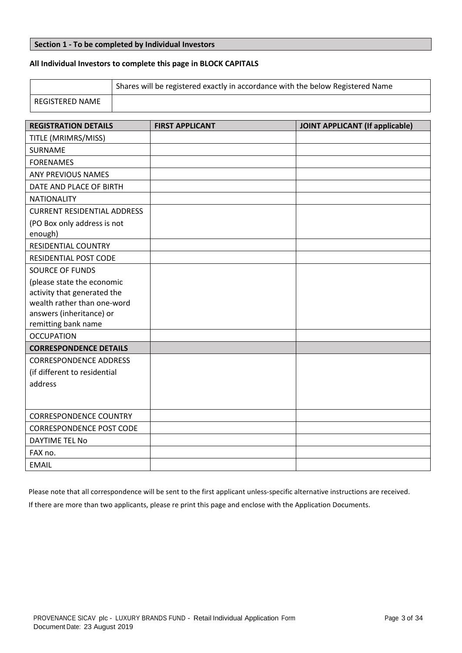### **Section 1 - To be completed by Individual Investors**

# **All Individual Investors to complete this page in BLOCK CAPITALS**

|                 | Shares will be registered exactly in accordance with the below Registered Name |
|-----------------|--------------------------------------------------------------------------------|
| REGISTERED NAME |                                                                                |

| <b>REGISTRATION DETAILS</b>        | <b>FIRST APPLICANT</b> | <b>JOINT APPLICANT (If applicable)</b> |
|------------------------------------|------------------------|----------------------------------------|
| TITLE (MRIMRS/MISS)                |                        |                                        |
| SURNAME                            |                        |                                        |
| <b>FORENAMES</b>                   |                        |                                        |
| <b>ANY PREVIOUS NAMES</b>          |                        |                                        |
| DATE AND PLACE OF BIRTH            |                        |                                        |
| <b>NATIONALITY</b>                 |                        |                                        |
| <b>CURRENT RESIDENTIAL ADDRESS</b> |                        |                                        |
| (PO Box only address is not        |                        |                                        |
| enough)                            |                        |                                        |
| <b>RESIDENTIAL COUNTRY</b>         |                        |                                        |
| RESIDENTIAL POST CODE              |                        |                                        |
| <b>SOURCE OF FUNDS</b>             |                        |                                        |
| (please state the economic         |                        |                                        |
| activity that generated the        |                        |                                        |
| wealth rather than one-word        |                        |                                        |
| answers (inheritance) or           |                        |                                        |
| remitting bank name                |                        |                                        |
| <b>OCCUPATION</b>                  |                        |                                        |
| <b>CORRESPONDENCE DETAILS</b>      |                        |                                        |
| <b>CORRESPONDENCE ADDRESS</b>      |                        |                                        |
| (if different to residential       |                        |                                        |
| address                            |                        |                                        |
|                                    |                        |                                        |
| <b>CORRESPONDENCE COUNTRY</b>      |                        |                                        |
| <b>CORRESPONDENCE POST CODE</b>    |                        |                                        |
| <b>DAYTIME TEL No</b>              |                        |                                        |
| FAX no.                            |                        |                                        |
| <b>EMAIL</b>                       |                        |                                        |

Please note that all correspondence will be sent to the first applicant unless-specific alternative instructions are received. If there are more than two applicants, please re print this page and enclose with the Application Documents.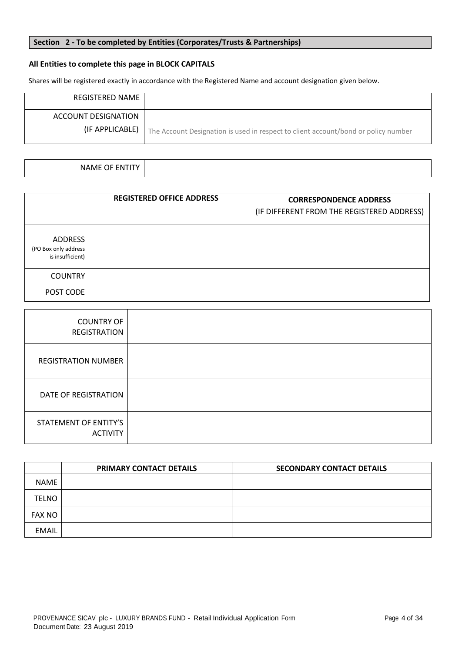# **Section 2 - To be completed by Entities (Corporates/Trusts & Partnerships)**

# **All Entities to complete this page in BLOCK CAPITALS**

Shares will be registered exactly in accordance with the Registered Name and account designation given below.

| REGISTERED NAME                        |                                                                                    |
|----------------------------------------|------------------------------------------------------------------------------------|
| ACCOUNT DESIGNATION<br>(IF APPLICABLE) | The Account Designation is used in respect to client account/bond or policy number |

| NAME OF<br>ΞN |  |
|---------------|--|

|                                                     | <b>REGISTERED OFFICE ADDRESS</b> | <b>CORRESPONDENCE ADDRESS</b><br>(IF DIFFERENT FROM THE REGISTERED ADDRESS) |
|-----------------------------------------------------|----------------------------------|-----------------------------------------------------------------------------|
| ADDRESS<br>(PO Box only address<br>is insufficient) |                                  |                                                                             |
| <b>COUNTRY</b>                                      |                                  |                                                                             |
| POST CODE                                           |                                  |                                                                             |

| <b>COUNTRY OF</b><br>REGISTRATION        |  |
|------------------------------------------|--|
| <b>REGISTRATION NUMBER</b>               |  |
| DATE OF REGISTRATION                     |  |
| STATEMENT OF ENTITY'S<br><b>ACTIVITY</b> |  |

|               | PRIMARY CONTACT DETAILS | <b>SECONDARY CONTACT DETAILS</b> |
|---------------|-------------------------|----------------------------------|
| <b>NAME</b>   |                         |                                  |
| <b>TELNO</b>  |                         |                                  |
| <b>FAX NO</b> |                         |                                  |
| <b>EMAIL</b>  |                         |                                  |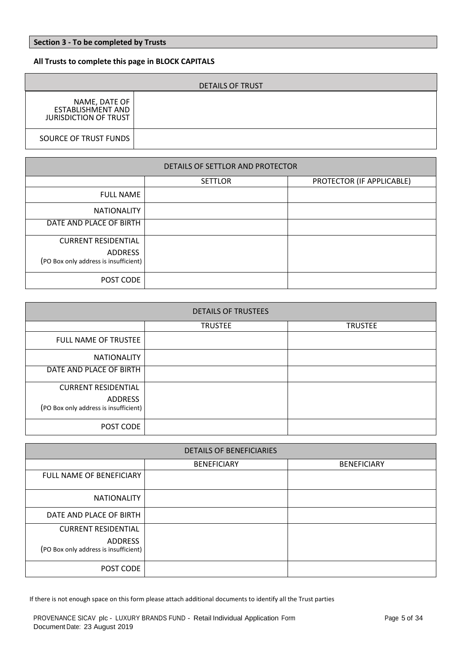# **Section 3 - To be completed by Trusts**

# **All Trusts to complete this page in BLOCK CAPITALS**

| <b>DETAILS OF TRUST</b>                                                   |  |  |  |
|---------------------------------------------------------------------------|--|--|--|
| NAME, DATE OF<br><b>ESTABLISHMENT AND</b><br><b>JURISDICTION OF TRUST</b> |  |  |  |
| SOURCE OF TRUST FUNDS                                                     |  |  |  |

| DETAILS OF SETTLOR AND PROTECTOR                                                      |                |                           |  |  |
|---------------------------------------------------------------------------------------|----------------|---------------------------|--|--|
|                                                                                       | <b>SETTLOR</b> | PROTECTOR (IF APPLICABLE) |  |  |
| <b>FULL NAME</b>                                                                      |                |                           |  |  |
| <b>NATIONALITY</b>                                                                    |                |                           |  |  |
| DATE AND PLACE OF BIRTH                                                               |                |                           |  |  |
| <b>CURRENT RESIDENTIAL</b><br><b>ADDRESS</b><br>(PO Box only address is insufficient) |                |                           |  |  |
| POST CODE                                                                             |                |                           |  |  |

| <b>DETAILS OF TRUSTEES</b>                                                            |                |                |  |  |
|---------------------------------------------------------------------------------------|----------------|----------------|--|--|
|                                                                                       | <b>TRUSTEE</b> | <b>TRUSTEE</b> |  |  |
| <b>FULL NAME OF TRUSTEE</b>                                                           |                |                |  |  |
| <b>NATIONALITY</b>                                                                    |                |                |  |  |
| DATE AND PLACE OF BIRTH                                                               |                |                |  |  |
| <b>CURRENT RESIDENTIAL</b><br><b>ADDRESS</b><br>(PO Box only address is insufficient) |                |                |  |  |
| POST CODE                                                                             |                |                |  |  |

| <b>DETAILS OF BENEFICIARIES</b>                                                       |                    |                    |  |
|---------------------------------------------------------------------------------------|--------------------|--------------------|--|
|                                                                                       | <b>BENEFICIARY</b> | <b>BENEFICIARY</b> |  |
| <b>FULL NAME OF BENEFICIARY</b>                                                       |                    |                    |  |
| <b>NATIONALITY</b>                                                                    |                    |                    |  |
| DATE AND PLACE OF BIRTH                                                               |                    |                    |  |
| <b>CURRENT RESIDENTIAL</b><br><b>ADDRESS</b><br>(PO Box only address is insufficient) |                    |                    |  |
| POST CODE                                                                             |                    |                    |  |

If there is not enough space on this form please attach additional documents to identify all the Trust parties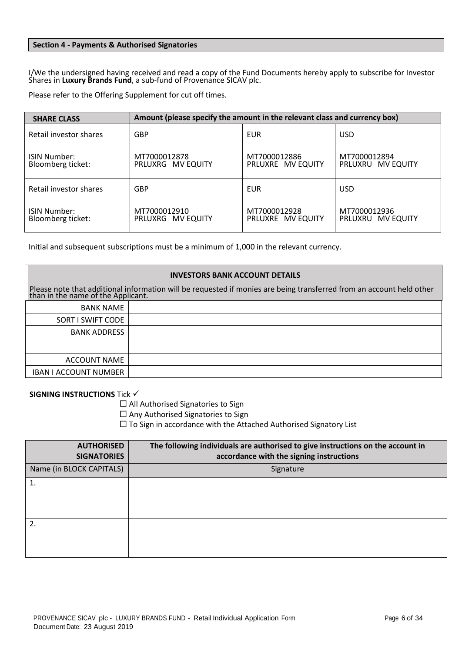## **Section 4 - Payments & Authorised Signatories**

I/We the undersigned having received and read a copy of the Fund Documents hereby apply to subscribe for Investor Shares in **Luxury Brands Fund**, a sub-fund of Provenance SICAV plc.

Please refer to the Offering Supplement for cut off times.

| <b>SHARE CLASS</b>                       | Amount (please specify the amount in the relevant class and currency box) |                                   |                                   |
|------------------------------------------|---------------------------------------------------------------------------|-----------------------------------|-----------------------------------|
| Retail investor shares                   | <b>GBP</b>                                                                | EUR                               | <b>USD</b>                        |
| <b>ISIN Number:</b><br>Bloomberg ticket: | MT7000012878<br>PRLUXRG MV EQUITY                                         | MT7000012886<br>PRLUXRE MV EQUITY | MT7000012894<br>PRLUXRU MV EQUITY |
| Retail investor shares                   | <b>GBP</b>                                                                | EUR                               | <b>USD</b>                        |
| <b>ISIN Number:</b><br>Bloomberg ticket: | MT7000012910<br>PRLUXRG MV EQUITY                                         | MT7000012928<br>PRLUXRE MV EQUITY | MT7000012936<br>PRLUXRU MV EQUITY |

PRLUXRU MV Initial and subsequent subscriptions must be a minimum of 1,000 in the relevant currency.

| <b>INVESTORS BANK ACCOUNT DETAILS</b>                                                                                                                      |  |  |
|------------------------------------------------------------------------------------------------------------------------------------------------------------|--|--|
| Please note that additional information will be requested if monies are being transferred from an account held other<br>than in the name of the Applicant. |  |  |
| <b>BANK NAME</b>                                                                                                                                           |  |  |
| SORT I SWIFT CODE                                                                                                                                          |  |  |
| <b>BANK ADDRESS</b>                                                                                                                                        |  |  |
| ACCOUNT NAME                                                                                                                                               |  |  |
| <b>IBAN I ACCOUNT NUMBER</b>                                                                                                                               |  |  |

**SIGNING INSTRUCTIONS** Tick √

 $\Box$  All Authorised Signatories to Sign

 $\square$  Any Authorised Signatories to Sign

 $\Box$  To Sign in accordance with the Attached Authorised Signatory List

| <b>AUTHORISED</b><br><b>SIGNATORIES</b> | The following individuals are authorised to give instructions on the account in<br>accordance with the signing instructions |
|-----------------------------------------|-----------------------------------------------------------------------------------------------------------------------------|
| Name (in BLOCK CAPITALS)                | Signature                                                                                                                   |
| 1.                                      |                                                                                                                             |
|                                         |                                                                                                                             |
|                                         |                                                                                                                             |
| 2.                                      |                                                                                                                             |
|                                         |                                                                                                                             |
|                                         |                                                                                                                             |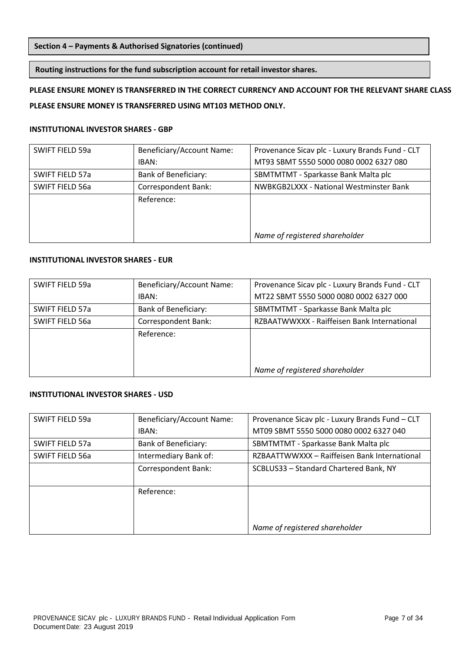# **Section 4 – Payments & Authorised Signatories (continued)**

### **Routing instructions for the fund subscription account for retail investor shares.**

# **PLEASE ENSURE MONEY IS TRANSFERRED IN THE CORRECT CURRENCY AND ACCOUNT FOR THE RELEVANT SHARE CLASS PLEASE ENSURE MONEY IS TRANSFERRED USING MT103 METHOD ONLY.**

#### **INSTITUTIONAL INVESTOR SHARES - GBP**

| SWIFT FIELD 59a | Beneficiary/Account Name:   | Provenance Sicav plc - Luxury Brands Fund - CLT |
|-----------------|-----------------------------|-------------------------------------------------|
|                 | IBAN:                       | MT93 SBMT 5550 5000 0080 0002 6327 080          |
| SWIFT FIELD 57a | <b>Bank of Beneficiary:</b> | SBMTMTMT - Sparkasse Bank Malta plc             |
| SWIFT FIELD 56a | Correspondent Bank:         | NWBKGB2LXXX - National Westminster Bank         |
|                 | Reference:                  |                                                 |
|                 |                             |                                                 |
|                 |                             |                                                 |
|                 |                             | Name of registered shareholder                  |

# **INSTITUTIONAL INVESTOR SHARES - EUR**

| SWIFT FIELD 59a | Beneficiary/Account Name:   | Provenance Sicav plc - Luxury Brands Fund - CLT |
|-----------------|-----------------------------|-------------------------------------------------|
|                 | IBAN:                       | MT22 SBMT 5550 5000 0080 0002 6327 000          |
| SWIFT FIELD 57a | <b>Bank of Beneficiary:</b> | SBMTMTMT - Sparkasse Bank Malta plc             |
| SWIFT FIELD 56a | Correspondent Bank:         | RZBAATWWXXX - Raiffeisen Bank International     |
|                 | Reference:                  |                                                 |
|                 |                             |                                                 |
|                 |                             |                                                 |
|                 |                             | Name of registered shareholder                  |

# **INSTITUTIONAL INVESTOR SHARES - USD**

| SWIFT FIELD 59a | Beneficiary/Account Name:   | Provenance Sicav plc - Luxury Brands Fund - CLT |
|-----------------|-----------------------------|-------------------------------------------------|
|                 | IBAN:                       | MT09 SBMT 5550 5000 0080 0002 6327 040          |
| SWIFT FIELD 57a | <b>Bank of Beneficiary:</b> | SBMTMTMT - Sparkasse Bank Malta plc             |
| SWIFT FIELD 56a | Intermediary Bank of:       | RZBAATTWWXXX - Raiffeisen Bank International    |
|                 | Correspondent Bank:         | SCBLUS33 - Standard Chartered Bank, NY          |
|                 | Reference:                  |                                                 |
|                 |                             | Name of registered shareholder                  |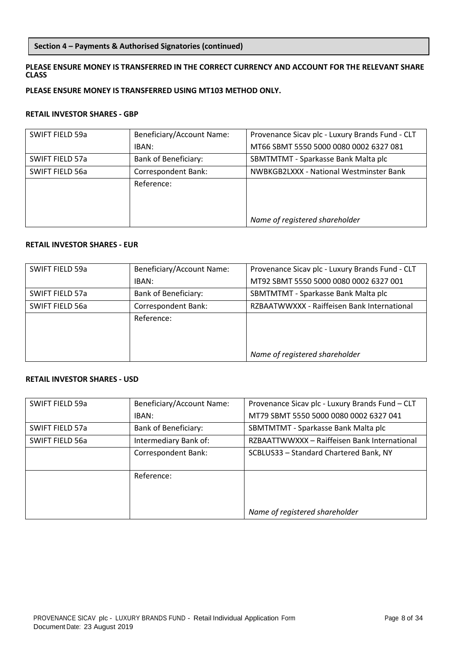# **Section 4 – Payments & Authorised Signatories (continued)**

# **PLEASE ENSURE MONEY IS TRANSFERRED IN THE CORRECT CURRENCY AND ACCOUNT FOR THE RELEVANT SHARE CLASS**

# **PLEASE ENSURE MONEY IS TRANSFERRED USING MT103 METHOD ONLY.**

#### **RETAIL INVESTOR SHARES - GBP**

| SWIFT FIELD 59a        | Beneficiary/Account Name:   | Provenance Sicav plc - Luxury Brands Fund - CLT |
|------------------------|-----------------------------|-------------------------------------------------|
|                        | IBAN:                       | MT66 SBMT 5550 5000 0080 0002 6327 081          |
| <b>SWIFT FIELD 57a</b> | <b>Bank of Beneficiary:</b> | SBMTMTMT - Sparkasse Bank Malta plc             |
| SWIFT FIELD 56a        | Correspondent Bank:         | NWBKGB2LXXX - National Westminster Bank         |
|                        | Reference:                  |                                                 |
|                        |                             |                                                 |
|                        |                             |                                                 |
|                        |                             | Name of registered shareholder                  |

# **RETAIL INVESTOR SHARES - EUR**

| SWIFT FIELD 59a | Beneficiary/Account Name:   | Provenance Sicav plc - Luxury Brands Fund - CLT |
|-----------------|-----------------------------|-------------------------------------------------|
|                 | IBAN:                       | MT92 SBMT 5550 5000 0080 0002 6327 001          |
| SWIFT FIELD 57a | <b>Bank of Beneficiary:</b> | SBMTMTMT - Sparkasse Bank Malta plc             |
| SWIFT FIELD 56a | Correspondent Bank:         | RZBAATWWXXX - Raiffeisen Bank International     |
|                 | Reference:                  |                                                 |
|                 |                             |                                                 |
|                 |                             |                                                 |
|                 |                             | Name of registered shareholder                  |

## **RETAIL INVESTOR SHARES - USD**

| SWIFT FIELD 59a | Beneficiary/Account Name:   | Provenance Sicav plc - Luxury Brands Fund - CLT |
|-----------------|-----------------------------|-------------------------------------------------|
|                 | IBAN:                       | MT79 SBMT 5550 5000 0080 0002 6327 041          |
| SWIFT FIELD 57a | <b>Bank of Beneficiary:</b> | SBMTMTMT - Sparkasse Bank Malta plc             |
| SWIFT FIELD 56a | Intermediary Bank of:       | RZBAATTWWXXX - Raiffeisen Bank International    |
|                 | Correspondent Bank:         | SCBLUS33 - Standard Chartered Bank, NY          |
|                 |                             |                                                 |
|                 | Reference:                  |                                                 |
|                 |                             |                                                 |
|                 |                             |                                                 |
|                 |                             | Name of registered shareholder                  |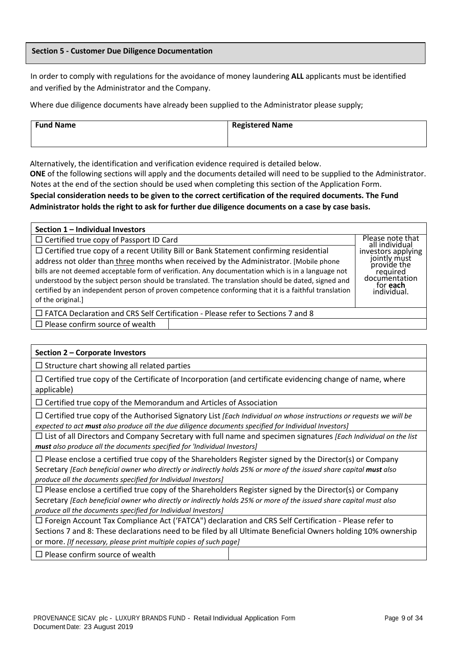### **Section 5 - Customer Due Diligence Documentation**

In order to comply with regulations for the avoidance of money laundering **ALL** applicants must be identified and verified by the Administrator and the Company.

Where due diligence documents have already been supplied to the Administrator please supply;

| <b>Fund Name</b> | Registered Name |
|------------------|-----------------|
|                  |                 |

Alternatively, the identification and verification evidence required is detailed below.

**ONE** of the following sections will apply and the documents detailed will need to be supplied to the Administrator. Notes at the end of the section should be used when completing this section of the Application Form.

# **Special consideration needs to be given to the correct certification of the required documents. The Fund Administrator holds the right to ask for further due diligence documents on a case by case basis.**

| Section 1 - Individual Investors                                                                                                                                                                                                                                                                                                                                                                                                                                                                                               |                                    |                                                                                                                  |
|--------------------------------------------------------------------------------------------------------------------------------------------------------------------------------------------------------------------------------------------------------------------------------------------------------------------------------------------------------------------------------------------------------------------------------------------------------------------------------------------------------------------------------|------------------------------------|------------------------------------------------------------------------------------------------------------------|
| $\Box$ Certified true copy of Passport ID Card                                                                                                                                                                                                                                                                                                                                                                                                                                                                                 | Please note that<br>all individual |                                                                                                                  |
| $\Box$ Certified true copy of a recent Utility Bill or Bank Statement confirming residential<br>address not older than three months when received by the Administrator. [Mobile phone<br>bills are not deemed acceptable form of verification. Any documentation which is in a language not<br>understood by the subject person should be translated. The translation should be dated, signed and<br>certified by an independent person of proven competence conforming that it is a faithful translation<br>of the original.] |                                    | investors applying<br>jointly must<br>provide the<br>required<br>documentation<br>for <b>each</b><br>individual. |
| $\Box$ FATCA Declaration and CRS Self Certification - Please refer to Sections 7 and 8                                                                                                                                                                                                                                                                                                                                                                                                                                         |                                    |                                                                                                                  |
| $\Box$ Please confirm source of wealth                                                                                                                                                                                                                                                                                                                                                                                                                                                                                         |                                    |                                                                                                                  |

#### **Section 2 – Corporate Investors**

 $\square$  Structure chart showing all related parties

 $\Box$  Certified true copy of the Certificate of Incorporation (and certificate evidencing change of name, where applicable)

 $\Box$  Certified true copy of the Memorandum and Articles of Association

 Certified true copy of the Authorised Signatory List *[Each Individual on whose instructions or requests we will be expected to act must also produce all the due diligence documents specified for Individual Investors]*

 List of all Directors and Company Secretary with full name and specimen signatures *[Each Individual on the list must also produce all the documents specified for 'Individual Investors]*

 $\Box$  Please enclose a certified true copy of the Shareholders Register signed by the Director(s) or Company Secretary [Each beneficial owner who directly or indirectly holds 25% or more of the issued share capital must also *produce all the documents specified for Individual Investors]*

 $\Box$  Please enclose a certified true copy of the Shareholders Register signed by the Director(s) or Company Secretary [Each beneficial owner who directly or indirectly holds 25% or more of the issued share capital must also *produce all the documents specified for Individual Investors]*

 Foreign Account Tax Compliance Act ('FATCA") declaration and CRS Self Certification - Please refer to Sections 7 and 8: These declarations need to be filed by all Ultimate Beneficial Owners holding 10% ownership or more. *[If necessary, please print multiple copies of such page]*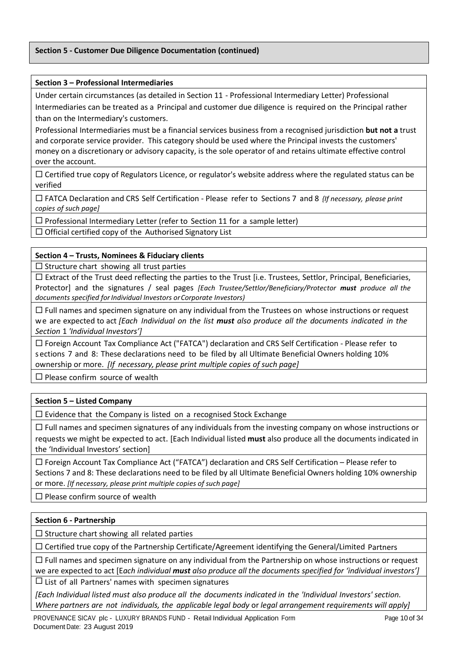# **Section 5 - Customer Due Diligence Documentation (continued)**

### **Section 3 – Professional Intermediaries**

Under certain circumstances (as detailed in Section 11 - Professional Intermediary Letter) Professional Intermediaries can be treated as a Principal and customer due diligence is required on the Principal rather than on the Intermediary's customers.

Professional Intermediaries must be a financial services business from a recognised jurisdiction **but not a** trust and corporate service provider. This category should be used where the Principal invests the customers' money on a discretionary or advisory capacity, is the sole operator of and retains ultimate effective control over the account.

 $\Box$  Certified true copy of Regulators Licence, or regulator's website address where the regulated status can be verified

 FATCA Declaration and CRS Self Certification - Please refer to Sections 7 and 8 *{If necessary, please print copies of such page]*

 $\Box$  Professional Intermediary Letter (refer to Section 11 for a sample letter)

 $\Box$  Official certified copy of the Authorised Signatory List

# **Section 4 – Trusts, Nominees & Fiduciary clients**

 $\square$  Structure chart showing all trust parties

 $\square$  Extract of the Trust deed reflecting the parties to the Trust [i.e. Trustees, Settlor, Principal, Beneficiaries, Protector] and the signatures / seal pages *[Each Trustee/Settlor/Beneficiary/Protector must produce all the documents specified forIndividual Investors orCorporate Investors)*

 $\Box$  Full names and specimen signature on any individual from the Trustees on whose instructions or request we are expected to act *[Each Individual on the list must also produce all the documents indicated in the Section* 1 *'Individual Investors']*

 Foreign Account Tax Compliance Act ("FATCA") declaration and CRS Self Certification - Please refer to s ections 7 and 8: These declarations need to be filed by all Ultimate Beneficial Owners holding 10% ownership or more. *[If necessary, please print multiple copies of such page]*

 $\square$  Please confirm source of wealth

# **Section 5 – Listed Company**

 $\Box$  Evidence that the Company is listed on a recognised Stock Exchange

 $\Box$  Full names and specimen signatures of any individuals from the investing company on whose instructions or requests we might be expected to act. [Each Individual listed **must** also produce all the documents indicated in the 'Individual Investors' section]

 Foreign Account Tax Compliance Act ("FATCA") declaration and CRS Self Certification – Please refer to Sections 7 and 8: These declarations need to be filed by all Ultimate Beneficial Owners holding 10% ownership or more. *[If necessary, please print multiple copies of such page]*

 $\square$  Please confirm source of wealth

# **Section 6 - Partnership**

 $\square$  Structure chart showing all related parties

 $\Box$  Certified true copy of the Partnership Certificate/Agreement identifying the General/Limited Partners

 $\Box$  Full names and specimen signature on any individual from the Partnership on whose instructions or request we are expected to act [E*ach individual must also produce all the documents specified for 'individual investors']*

 $\Box$  List of all Partners' names with specimen signatures

*[Each Individual listed must also produce all the documents indicated in the 'Individual Investors' section. Where partners are not individuals, the applicable legal body* or *legal arrangement requirements will apply]*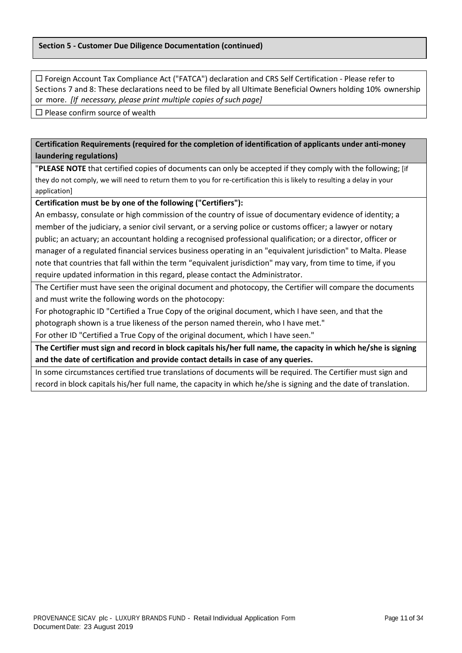Foreign Account Tax Compliance Act ("FATCA") declaration and CRS Self Certification - Please refer to Sections 7 and 8: These declarations need to be filed by all Ultimate Beneficial Owners holding 10% ownership or more. *[If necessary, please print multiple copies of such page]*

 $\square$  Please confirm source of wealth

**Certification Requirements (required for the completion of identification of applicants under anti-money laundering regulations)**

"**PLEASE NOTE** that certified copies of documents can only be accepted if they comply with the following; [if they do not comply, we will need to return them to you for re-certification this is likely to resulting a delay in your application]

**Certification must be by one of the following ("Certifiers"):**

An embassy, consulate or high commission of the country of issue of documentary evidence of identity; a member of the judiciary, a senior civil servant, or a serving police or customs officer; a lawyer or notary public; an actuary; an accountant holding a recognised professional qualification; or a director, officer or manager of a regulated financial services business operating in an "equivalent jurisdiction" to Malta. Please note that countries that fall within the term "equivalent jurisdiction" may vary, from time to time, if you require updated information in this regard, please contact the Administrator.

The Certifier must have seen the original document and photocopy, the Certifier will compare the documents and must write the following words on the photocopy:

For photographic ID "Certified a True Copy of the original document, which I have seen, and that the

photograph shown is a true likeness of the person named therein, who I have met."

For other ID "Certified a True Copy of the original document, which I have seen."

**The Certifier must sign and record in block capitals his/her full name, the capacity in which he/she is signing and the date of certification and provide contact details in case of any queries.**

In some circumstances certified true translations of documents will be required. The Certifier must sign and record in block capitals his/her full name, the capacity in which he/she is signing and the date of translation.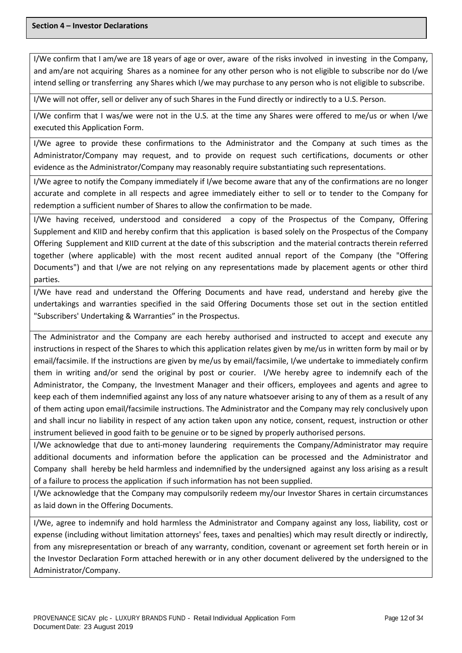I/We confirm that I am/we are 18 years of age or over, aware of the risks involved in investing in the Company, and am/are not acquiring Shares as a nominee for any other person who is not eligible to subscribe nor do I/we intend selling or transferring any Shares which I/we may purchase to any person who is not eligible to subscribe.

I/We will not offer, sell or deliver any of such Shares in the Fund directly or indirectly to a U.S. Person.

I/We confirm that I was/we were not in the U.S. at the time any Shares were offered to me/us or when I/we executed this Application Form.

I/We agree to provide these confirmations to the Administrator and the Company at such times as the Administrator/Company may request, and to provide on request such certifications, documents or other evidence as the Administrator/Company may reasonably require substantiating such representations.

I/We agree to notify the Company immediately if I/we become aware that any of the confirmations are no longer accurate and complete in all respects and agree immediately either to sell or to tender to the Company for redemption a sufficient number of Shares to allow the confirmation to be made.

I/We having received, understood and considered a copy of the Prospectus of the Company, Offering Supplement and KIID and hereby confirm that this application is based solely on the Prospectus of the Company Offering Supplement and KIID current at the date of this subscription and the material contracts therein referred together (where applicable) with the most recent audited annual report of the Company (the "Offering Documents") and that I/we are not relying on any representations made by placement agents or other third parties.

I/We have read and understand the Offering Documents and have read, understand and hereby give the undertakings and warranties specified in the said Offering Documents those set out in the section entitled "Subscribers' Undertaking & Warranties" in the Prospectus.

The Administrator and the Company are each hereby authorised and instructed to accept and execute any instructions in respect of the Shares to which this application relates given by me/us in written form by mail or by email/facsimile. If the instructions are given by me/us by email/facsimile, I/we undertake to immediately confirm them in writing and/or send the original by post or courier. I/We hereby agree to indemnify each of the Administrator, the Company, the Investment Manager and their officers, employees and agents and agree to keep each of them indemnified against any loss of any nature whatsoever arising to any of them as a result of any of them acting upon email/facsimile instructions. The Administrator and the Company may rely conclusively upon and shall incur no liability in respect of any action taken upon any notice, consent, request, instruction or other instrument believed in good faith to be genuine or to be signed by properly authorised persons.

I/We acknowledge that due to anti-money laundering requirements the Company/Administrator may require additional documents and information before the application can be processed and the Administrator and Company shall hereby be held harmless and indemnified by the undersigned against any loss arising as a result of a failure to process the application if such information has not been supplied.

I/We acknowledge that the Company may compulsorily redeem my/our Investor Shares in certain circumstances as laid down in the Offering Documents.

I/We, agree to indemnify and hold harmless the Administrator and Company against any loss, liability, cost or expense (including without limitation attorneys' fees, taxes and penalties) which may result directly or indirectly, from any misrepresentation or breach of any warranty, condition, covenant or agreement set forth herein or in the Investor Declaration Form attached herewith or in any other document delivered by the undersigned to the Administrator/Company.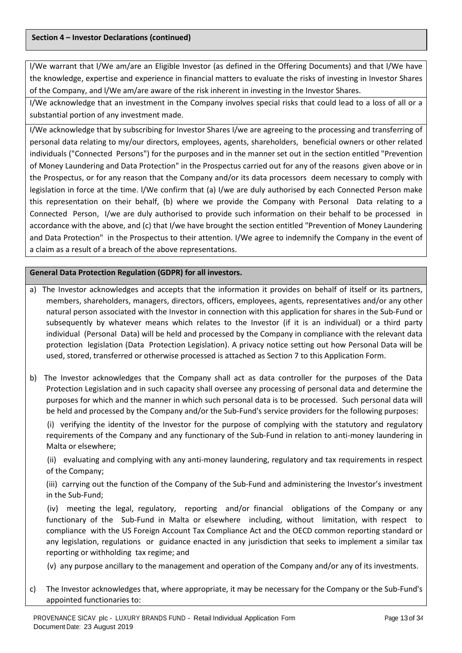l/We warrant that l/We am/are an Eligible Investor (as defined in the Offering Documents) and that l/We have the knowledge, expertise and experience in financial matters to evaluate the risks of investing in Investor Shares of the Company, and l/We am/are aware of the risk inherent in investing in the Investor Shares.

I/We acknowledge that an investment in the Company involves special risks that could lead to a loss of all or a substantial portion of any investment made.

I/We acknowledge that by subscribing for Investor Shares I/we are agreeing to the processing and transferring of personal data relating to my/our directors, employees, agents, shareholders, beneficial owners or other related individuals ("Connected Persons") for the purposes and in the manner set out in the section entitled "Prevention of Money Laundering and Data Protection" in the Prospectus carried out for any of the reasons given above or in the Prospectus, or for any reason that the Company and/or its data processors deem necessary to comply with legislation in force at the time. l/We confirm that (a) I/we are duly authorised by each Connected Person make this representation on their behalf, (b) where we provide the Company with Personal Data relating to a Connected Person, I/we are duly authorised to provide such information on their behalf to be processed in accordance with the above, and (c) that I/we have brought the section entitled "Prevention of Money Laundering and Data Protection" in the Prospectus to their attention. I/We agree to indemnify the Company in the event of a claim as a result of a breach of the above representations.

# **General Data Protection Regulation (GDPR) for all investors.**

- a) The Investor acknowledges and accepts that the information it provides on behalf of itself or its partners, members, shareholders, managers, directors, officers, employees, agents, representatives and/or any other natural person associated with the Investor in connection with this application for shares in the Sub-Fund or subsequently by whatever means which relates to the Investor (if it is an individual) or a third party individual (Personal Data) will be held and processed by the Company in compliance with the relevant data protection legislation (Data Protection Legislation). A privacy notice setting out how Personal Data will be used, stored, transferred or otherwise processed is attached as Section 7 to this Application Form.
- b) The Investor acknowledges that the Company shall act as data controller for the purposes of the Data Protection Legislation and in such capacity shall oversee any processing of personal data and determine the purposes for which and the manner in which such personal data is to be processed. Such personal data will be held and processed by the Company and/or the Sub-Fund's service providers for the following purposes:

 (i) verifying the identity of the Investor for the purpose of complying with the statutory and regulatory requirements of the Company and any functionary of the Sub-Fund in relation to anti-money laundering in Malta or elsewhere;

 (ii) evaluating and complying with any anti-money laundering, regulatory and tax requirements in respect of the Company;

(iii) carrying out the function of the Company of the Sub-Fund and administering the Investor's investment in the Sub-Fund;

 (iv) meeting the legal, regulatory, reporting and/or financial obligations of the Company or any functionary of the Sub-Fund in Malta or elsewhere including, without limitation, with respect to compliance with the US Foreign Account Tax Compliance Act and the OECD common reporting standard or any legislation, regulations or guidance enacted in any jurisdiction that seeks to implement a similar tax reporting or withholding tax regime; and

(v) any purpose ancillary to the management and operation of the Company and/or any of its investments.

c) The Investor acknowledges that, where appropriate, it may be necessary for the Company or the Sub-Fund's appointed functionaries to: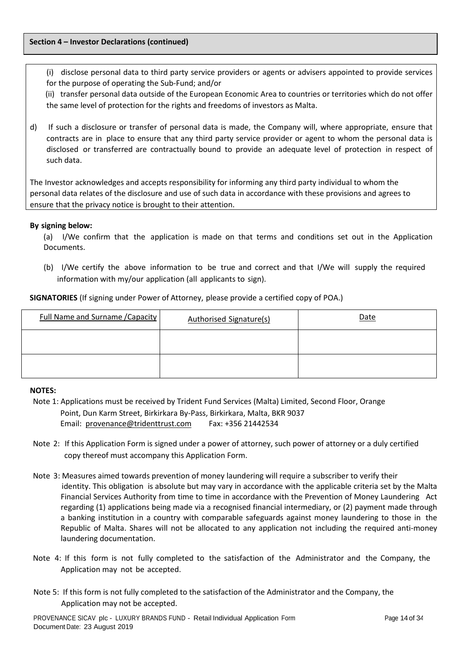### **Section 4 – Investor Declarations (continued)**

(i) disclose personal data to third party service providers or agents or advisers appointed to provide services for the purpose of operating the Sub-Fund; and/or

 (ii) transfer personal data outside of the European Economic Area to countries or territories which do not offer the same level of protection for the rights and freedoms of investors as Malta.

d) If such a disclosure or transfer of personal data is made, the Company will, where appropriate, ensure that contracts are in place to ensure that any third party service provider or agent to whom the personal data is disclosed or transferred are contractually bound to provide an adequate level of protection in respect of such data.

The Investor acknowledges and accepts responsibility for informing any third party individual to whom the personal data relates of the disclosure and use of such data in accordance with these provisions and agrees to ensure that the privacy notice is brought to their attention.

# **By signing below:**

(a) I/We confirm that the application is made on that terms and conditions set out in the Application Documents.

(b) I/We certify the above information to be true and correct and that I/We will supply the required information with my/our application (all applicants to sign).

| <b>Full Name and Surname / Capacity</b> | <b>Authorised Signature(s)</b> | <b>Date</b> |
|-----------------------------------------|--------------------------------|-------------|
|                                         |                                |             |
|                                         |                                |             |

**SIGNATORIES** (If signing under Power of Attorney, please provide a certified copy of POA.)

# **NOTES:**

- Note 1: Applications must be received by Trident Fund Services (Malta) Limited, Second Floor, Orange Point, Dun Karm Street, Birkirkara By-Pass, Birkirkara, Malta, BKR 9037 Email: [provenance@tridenttrust.com](mailto:provenance@tridenttrust.com) Fax: +356 21442534
- Note 2: If this Application Form is signed under a power of attorney, such power of attorney or a duly certified copy thereof must accompany this Application Form.
- Note 3: Measures aimed towards prevention of money laundering will require a subscriber to verify their identity. This obligation is absolute but may vary in accordance with the applicable criteria set by the Malta Financial Services Authority from time to time in accordance with the Prevention of Money Laundering Act regarding (1) applications being made via a recognised financial intermediary, or (2) payment made through a banking institution in a country with comparable safeguards against money laundering to those in the Republic of Malta. Shares will not be allocated to any application not including the required anti-money laundering documentation.
- Note 4: If this form is not fully completed to the satisfaction of the Administrator and the Company, the Application may not be accepted.
- Note 5: If this form is not fully completed to the satisfaction of the Administrator and the Company, the Application may not be accepted.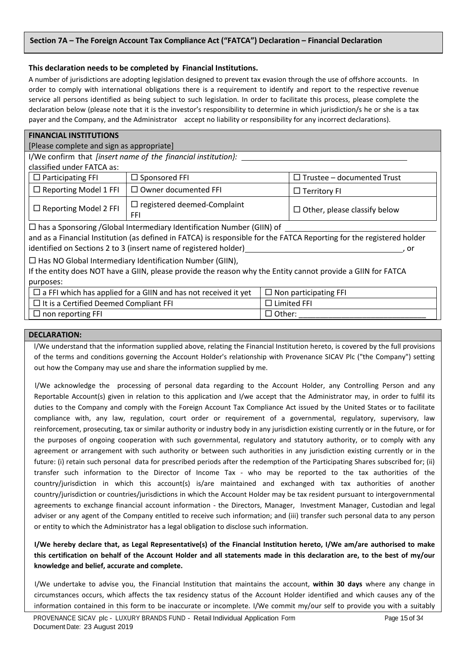# **Section 7A – The Foreign Account Tax Compliance Act ("FATCA") Declaration – Financial Declaration**

# **This declaration needs to be completed by Financial Institutions.**

A number of jurisdictions are adopting legislation designed to prevent tax evasion through the use of offshore accounts. In order to comply with international obligations there is a requirement to identify and report to the respective revenue service all persons identified as being subject to such legislation. In order to facilitate this process, please complete the declaration below (please note that it is the investor's responsibility to determine in which jurisdiction/s he or she is a tax payer and the Company, and the Administrator accept no liability or responsibility for any incorrect declarations).

| <b>FINANCIAL INSTITUTIONS</b>                                                                                         |                                                                       |                                     |  |  |
|-----------------------------------------------------------------------------------------------------------------------|-----------------------------------------------------------------------|-------------------------------------|--|--|
| [Please complete and sign as appropriate]                                                                             |                                                                       |                                     |  |  |
|                                                                                                                       | I/We confirm that <i>[insert name of the financial institution]</i> : |                                     |  |  |
| classified under FATCA as:                                                                                            |                                                                       |                                     |  |  |
| $\Box$ Participating FFI                                                                                              | $\Box$ Sponsored FFI                                                  | $\Box$ Trustee - documented Trust   |  |  |
| $\Box$ Reporting Model 1 FFI                                                                                          | $\Box$ Owner documented FFI                                           | $\Box$ Territory FI                 |  |  |
| $\Box$ Reporting Model 2 FFI                                                                                          | $\Box$ registered deemed-Complaint<br>FFI                             | $\Box$ Other, please classify below |  |  |
| $\Box$ has a Sponsoring /Global Intermediary Identification Number (GIIN) of                                          |                                                                       |                                     |  |  |
| and as a Financial Institution (as defined in FATCA) is responsible for the FATCA Reporting for the registered holder |                                                                       |                                     |  |  |
| identified on Sections 2 to 3 (insert name of registered holder)<br>. or                                              |                                                                       |                                     |  |  |
| $\Box$ Has NO Global Intermediary Identification Number (GIIN),                                                       |                                                                       |                                     |  |  |
| If the entity does NOT have a GIIN, please provide the reason why the Entity cannot provide a GIIN for FATCA          |                                                                       |                                     |  |  |
| purposes:                                                                                                             |                                                                       |                                     |  |  |
| $\Box$ a FFI which has applied for a GIIN and has not received it yet<br>$\Box$ Non participating FFI                 |                                                                       |                                     |  |  |
| $\Box$ Limited FFI<br>$\Box$ It is a Certified Deemed Compliant FFI                                                   |                                                                       |                                     |  |  |
| $\Box$ non reporting FFI<br>$\Box$ Other:                                                                             |                                                                       |                                     |  |  |

#### **DECLARATION:**

l/We understand that the information supplied above, relating the Financial Institution hereto, is covered by the full provisions of the terms and conditions governing the Account Holder's relationship with Provenance SICAV Plc ("the Company") setting out how the Company may use and share the information supplied by me.

l/We acknowledge the processing of personal data regarding to the Account Holder, any Controlling Person and any Reportable Account(s) given in relation to this application and I/we accept that the Administrator may, in order to fulfil its duties to the Company and comply with the Foreign Account Tax Compliance Act issued by the United States or to facilitate compliance with, any law, regulation, court order or requirement of a governmental, regulatory, supervisory, law reinforcement, prosecuting, tax or similar authority or industry body in any jurisdiction existing currently or in the future, or for the purposes of ongoing cooperation with such governmental, regulatory and statutory authority, or to comply with any agreement or arrangement with such authority or between such authorities in any jurisdiction existing currently or in the future: (i) retain such personal data for prescribed periods after the redemption of the Participating Shares subscribed for; (ii) transfer such information to the Director of Income Tax - who may be reported to the tax authorities of the country/jurisdiction in which this account(s) is/are maintained and exchanged with tax authorities of another country/jurisdiction or countries/jurisdictions in which the Account Holder may be tax resident pursuant to intergovernmental agreements to exchange financial account information - the Directors, Manager, Investment Manager, Custodian and legal adviser or any agent of the Company entitled to receive such information; and (iii) transfer such personal data to any person or entity to which the Administrator has a legal obligation to disclose such information.

**I/We hereby declare that, as Legal Representative(s) of the Financial Institution hereto, I/We am/are authorised to make this certification on behalf of the Account Holder and all statements made in this declaration are, to the best of my/our knowledge and belief, accurate and complete.**

I/We undertake to advise you, the Financial Institution that maintains the account, **within 30 days** where any change in circumstances occurs, which affects the tax residency status of the Account Holder identified and which causes any of the information contained in this form to be inaccurate or incomplete. I/We commit my/our self to provide you with a suitably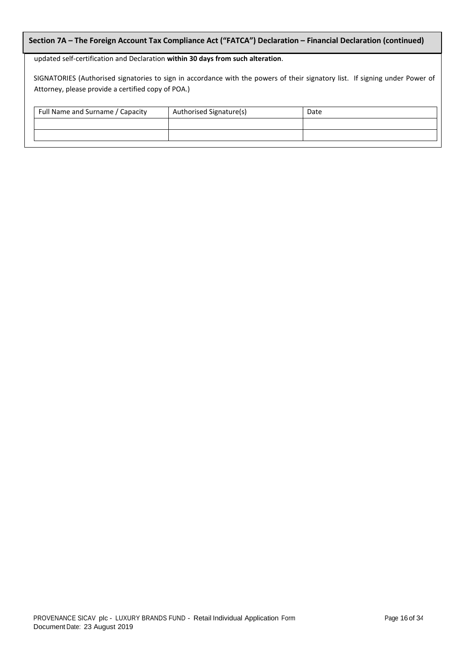# **Section 7A – The Foreign Account Tax Compliance Act ("FATCA") Declaration – Financial Declaration (continued)**

### updated self-certification and Declaration **within 30 days from such alteration**.

SIGNATORIES (Authorised signatories to sign in accordance with the powers of their signatory list. If signing under Power of Attorney, please provide a certified copy of POA.)

| Full Name and Surname / Capacity | Authorised Signature(s) | Date |
|----------------------------------|-------------------------|------|
|                                  |                         |      |
|                                  |                         |      |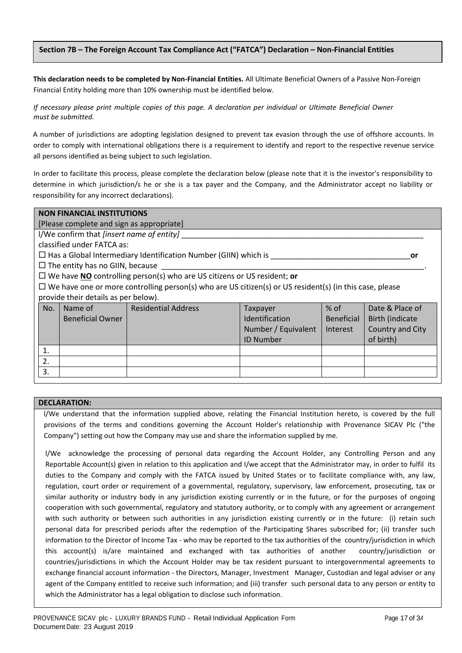# **Section 7B – The Foreign Account Tax Compliance Act ("FATCA") Declaration – Non-Financial Entities**

**This declaration needs to be completed by Non-Financial Entities.** All Ultimate Beneficial Owners of a Passive Non-Foreign Financial Entity holding more than 10% ownership must be identified below.

# *If necessary please print multiple copies of this page. A declaration per individual or Ultimate Beneficial Owner must be submitted.*

A number of jurisdictions are adopting legislation designed to prevent tax evasion through the use of offshore accounts. In order to comply with international obligations there is a requirement to identify and report to the respective revenue service all persons identified as being subject to such legislation.

In order to facilitate this process, please complete the declaration below (please note that it is the investor's responsibility to determine in which jurisdiction/s he or she is a tax payer and the Company, and the Administrator accept no liability or responsibility for any incorrect declarations).

|     | <b>NON FINANCIAL INSTITUTIONS</b>                   |                                                                                                                |                       |                   |                         |
|-----|-----------------------------------------------------|----------------------------------------------------------------------------------------------------------------|-----------------------|-------------------|-------------------------|
|     | [Please complete and sign as appropriate]           |                                                                                                                |                       |                   |                         |
|     | I/We confirm that [insert name of entity]           |                                                                                                                |                       |                   |                         |
|     | classified under FATCA as:                          |                                                                                                                |                       |                   |                         |
|     |                                                     | $\square$ Has a Global Intermediary Identification Number (GIIN) which is                                      |                       |                   | or                      |
|     | $\Box$ The entity has no GIIN, because              |                                                                                                                |                       |                   |                         |
|     |                                                     | $\Box$ We have NO controlling person(s) who are US citizens or US resident; or                                 |                       |                   |                         |
|     |                                                     | $\Box$ We have one or more controlling person(s) who are US citizen(s) or US resident(s) (in this case, please |                       |                   |                         |
|     | provide their details as per below).                |                                                                                                                |                       |                   |                         |
| No. |                                                     | Name of <b>Residential Address</b>                                                                             | Taxpayer              | $%$ of            | Date & Place of         |
|     | <b>Beneficial Owner</b>                             |                                                                                                                | <b>Identification</b> | <b>Beneficial</b> | <b>Birth (indicate)</b> |
|     | Country and City<br>Number / Equivalent<br>Interest |                                                                                                                |                       |                   |                         |
|     | of birth)<br><b>ID Number</b>                       |                                                                                                                |                       |                   |                         |
| 1.  |                                                     |                                                                                                                |                       |                   |                         |
| 2.  |                                                     |                                                                                                                |                       |                   |                         |
| 3.  |                                                     |                                                                                                                |                       |                   |                         |

# **DECLARATION:**

l/We understand that the information supplied above, relating the Financial Institution hereto, is covered by the full provisions of the terms and conditions governing the Account Holder's relationship with Provenance SICAV Plc ("the Company") setting out how the Company may use and share the information supplied by me.

l/We acknowledge the processing of personal data regarding the Account Holder, any Controlling Person and any Reportable Account(s) given in relation to this application and I/we accept that the Administrator may, in order to fulfil its duties to the Company and comply with the FATCA issued by United States or to facilitate compliance with, any law, regulation, court order or requirement of a governmental, regulatory, supervisory, law enforcement, prosecuting, tax or similar authority or industry body in any jurisdiction existing currently or in the future, or for the purposes of ongoing cooperation with such governmental, regulatory and statutory authority, or to comply with any agreement or arrangement with such authority or between such authorities in any jurisdiction existing currently or in the future: (i) retain such personal data for prescribed periods after the redemption of the Participating Shares subscribed for; (ii) transfer such information to the Director of Income Tax - who may be reported to the tax authorities of the country/jurisdiction in which this account(s) is/are maintained and exchanged with tax authorities of another country/jurisdiction or countries/jurisdictions in which the Account Holder may be tax resident pursuant to intergovernmental agreements to exchange financial account information - the Directors, Manager, Investment Manager, Custodian and legal adviser or any agent of the Company entitled to receive such information; and (iii) transfer such personal data to any person or entity to which the Administrator has a legal obligation to disclose such information.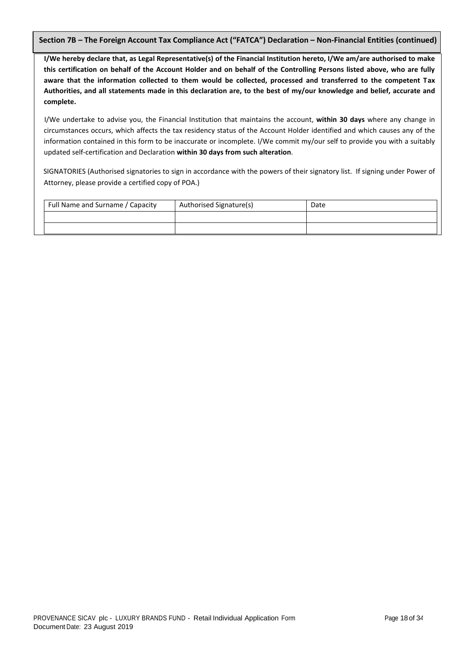**Section 7B – The Foreign Account Tax Compliance Act ("FATCA") Declaration – Non-Financial Entities (continued)**

**I/We hereby declare that, as Legal Representative(s) of the Financial Institution hereto, I/We am/are authorised to make this certification on behalf of the Account Holder and on behalf of the Controlling Persons listed above, who are fully aware that the information collected to them would be collected, processed and transferred to the competent Tax Authorities, and all statements made in this declaration are, to the best of my/our knowledge and belief, accurate and complete.**

I/We undertake to advise you, the Financial Institution that maintains the account, **within 30 days** where any change in circumstances occurs, which affects the tax residency status of the Account Holder identified and which causes any of the information contained in this form to be inaccurate or incomplete. I/We commit my/our self to provide you with a suitably updated self-certification and Declaration **within 30 days from such alteration**.

SIGNATORIES (Authorised signatories to sign in accordance with the powers of their signatory list. If signing under Power of Attorney, please provide a certified copy of POA.)

| Full Name and Surname / Capacity | Authorised Signature(s) | Date |
|----------------------------------|-------------------------|------|
|                                  |                         |      |
|                                  |                         |      |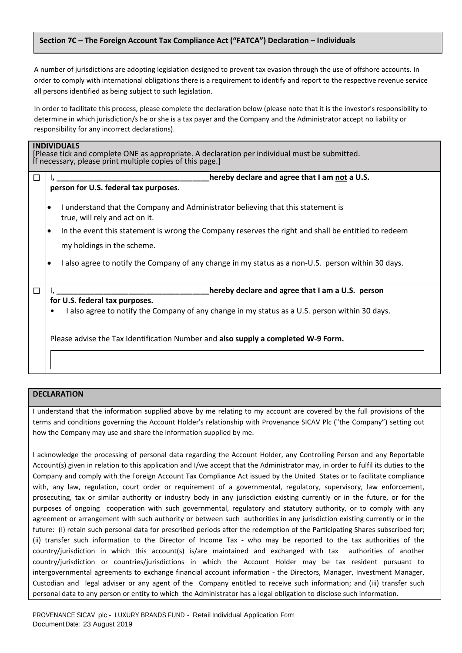# **Section 7C – The Foreign Account Tax Compliance Act ("FATCA") Declaration – Individuals**

A number of jurisdictions are adopting legislation designed to prevent tax evasion through the use of offshore accounts. In order to comply with international obligations there is a requirement to identify and report to the respective revenue service all persons identified as being subject to such legislation.

In order to facilitate this process, please complete the declaration below (please note that it is the investor's responsibility to determine in which jurisdiction/s he or she is a tax payer and the Company and the Administrator accept no liability or responsibility for any incorrect declarations).

| <b>INDIVIDUALS</b><br>[Please tick and complete ONE as appropriate. A declaration per individual must be submitted.<br>If necessary, please print multiple copies of this page.] |                                                                                                                                 |  |  |  |
|----------------------------------------------------------------------------------------------------------------------------------------------------------------------------------|---------------------------------------------------------------------------------------------------------------------------------|--|--|--|
| □                                                                                                                                                                                | hereby declare and agree that I am not a U.S.                                                                                   |  |  |  |
|                                                                                                                                                                                  | person for U.S. federal tax purposes.                                                                                           |  |  |  |
|                                                                                                                                                                                  | I understand that the Company and Administrator believing that this statement is<br>$\bullet$<br>true, will rely and act on it. |  |  |  |
|                                                                                                                                                                                  | In the event this statement is wrong the Company reserves the right and shall be entitled to redeem<br>٠                        |  |  |  |
|                                                                                                                                                                                  | my holdings in the scheme.                                                                                                      |  |  |  |
|                                                                                                                                                                                  | I also agree to notify the Company of any change in my status as a non-U.S. person within 30 days.                              |  |  |  |
| $\Box$                                                                                                                                                                           | hereby declare and agree that I am a U.S. person                                                                                |  |  |  |
|                                                                                                                                                                                  | for U.S. federal tax purposes.                                                                                                  |  |  |  |
|                                                                                                                                                                                  | I also agree to notify the Company of any change in my status as a U.S. person within 30 days.                                  |  |  |  |
|                                                                                                                                                                                  | Please advise the Tax Identification Number and also supply a completed W-9 Form.                                               |  |  |  |
|                                                                                                                                                                                  |                                                                                                                                 |  |  |  |

# **DECLARATION**

I understand that the information supplied above by me relating to my account are covered by the full provisions of the terms and conditions governing the Account Holder's relationship with Provenance SICAV Plc ("the Company") setting out how the Company may use and share the information supplied by me.

I acknowledge the processing of personal data regarding the Account Holder, any Controlling Person and any Reportable Account(s) given in relation to this application and I/we accept that the Administrator may, in order to fulfil its duties to the Company and comply with the Foreign Account Tax Compliance Act issued by the United States or to facilitate compliance with, any law, regulation, court order or requirement of a governmental, regulatory, supervisory, law enforcement, prosecuting, tax or similar authority or industry body in any jurisdiction existing currently or in the future, or for the purposes of ongoing cooperation with such governmental, regulatory and statutory authority, or to comply with any agreement or arrangement with such authority or between such authorities in any jurisdiction existing currently or in the future: (I) retain such personal data for prescribed periods after the redemption of the Participating Shares subscribed for; (ii) transfer such information to the Director of Income Tax - who may be reported to the tax authorities of the country/jurisdiction in which this account(s) is/are maintained and exchanged with tax authorities of another country/jurisdiction or countries/jurisdictions in which the Account Holder may be tax resident pursuant to intergovernmental agreements to exchange financial account information - the Directors, Manager, Investment Manager, Custodian and legal adviser or any agent of the Company entitled to receive such information; and (iii) transfer such personal data to any person or entity to which the Administrator has a legal obligation to disclose such information.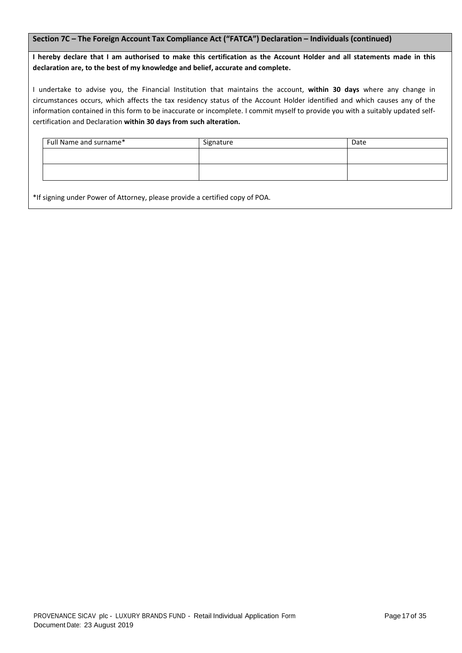# **Section 7C – The Foreign Account Tax Compliance Act ("FATCA") Declaration – Individuals (continued)**

**I hereby declare that I am authorised to make this certification as the Account Holder and all statements made in this declaration are, to the best of my knowledge and belief, accurate and complete.**

I undertake to advise you, the Financial Institution that maintains the account, **within 30 days** where any change in circumstances occurs, which affects the tax residency status of the Account Holder identified and which causes any of the information contained in this form to be inaccurate or incomplete. I commit myself to provide you with a suitably updated selfcertification and Declaration **within 30 days from such alteration.**

| Full Name and surname* | Signature | Date |
|------------------------|-----------|------|
|                        |           |      |
|                        |           |      |
|                        |           |      |

\*If signing under Power of Attorney, please provide a certified copy of POA.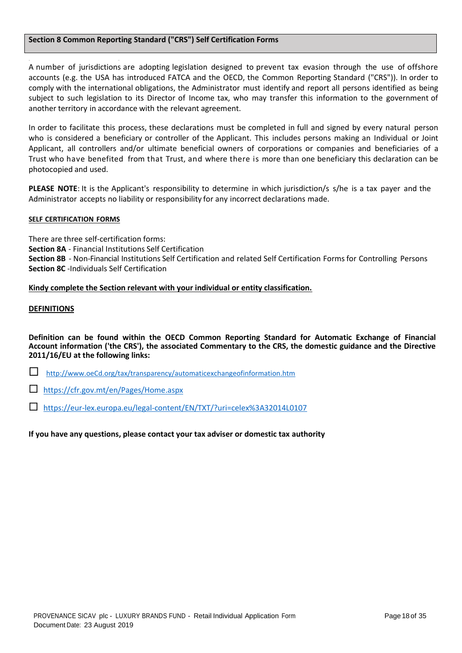# **Section 8 Common Reporting Standard ("CRS") Self Certification Forms**

- - A number of jurisdictions are adopting legislation designed to prevent tax evasion through the use of offshore accounts (e.g. the USA has introduced FATCA and the OECD, the Common Reporting Standard ("CRS")). In order to comply with the international obligations, the Administrator must identify and report all persons identified as being subject to such legislation to its Director of Income tax, who may transfer this information to the government of another territory in accordance with the relevant agreement.

In order to facilitate this process, these declarations must be completed in full and signed by every natural person who is considered a beneficiary or controller of the Applicant. This includes persons making an Individual or Joint Applicant, all controllers and/or ultimate beneficial owners of corporations or companies and beneficiaries of a Trust who have benefited from that Trust, and where there is more than one beneficiary this declaration can be photocopied and used.

**PLEASE NOTE**: It is the Applicant's responsibility to determine in which jurisdiction/s s/he is a tax payer and the Administrator accepts no liability or responsibility for any incorrect declarations made.

#### **SELF CERTIFICATION FORMS**

There are three self-certification forms:

**Section 8A** - Financial Institutions Self Certification

**Section 8B** - Non-Financial Institutions Self Certification and related Self Certification Forms for Controlling Persons **Section 8C** -Individuals Self Certification

# **Kindy complete the Section relevant with your individual or entity classification.**

### **DEFINITIONS**

**Definition can be found within the OECD Common Reporting Standard for Automatic Exchange of Financial Account information ('the CRS'), the associated Commentary to the CRS, the domestic guidance and the Directive 2011/16/EU at the following links:**

[http://www.oeCd.org/tax/transparency/automaticexchangeofinformation.htm](http://www.oecd.org/tax/transparency/automaticexchangeofinformation.htm)

<https://cfr.gov.mt/en/Pages/Home.aspx>

<https://eur-lex.europa.eu/legal-content/EN/TXT/?uri=celex%3A32014L0107>

**If you have any questions, please contact your tax adviser or domestic tax authority**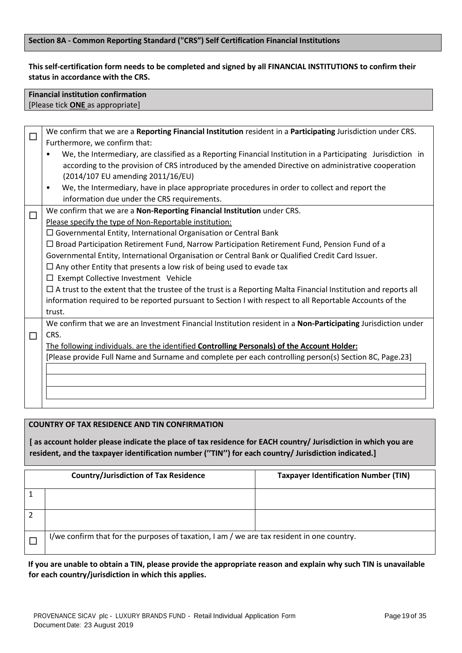# **Section 8A - Common Reporting Standard ("CRS") Self Certification Financial Institutions**

# **This self-certification form needs to be completed and signed by all FINANCIAL INSTITUTIONS to confirm their status in accordance with the CRS.**

# **Financial institution confirmation**  [Please tick **ONE** as appropriate]

|        | We confirm that we are a Reporting Financial Institution resident in a Participating Jurisdiction under CRS.              |
|--------|---------------------------------------------------------------------------------------------------------------------------|
|        | Furthermore, we confirm that:                                                                                             |
|        | We, the Intermediary, are classified as a Reporting Financial Institution in a Participating Jurisdiction in<br>$\bullet$ |
|        | according to the provision of CRS introduced by the amended Directive on administrative cooperation                       |
|        | (2014/107 EU amending 2011/16/EU)                                                                                         |
|        | We, the Intermediary, have in place appropriate procedures in order to collect and report the<br>$\bullet$                |
|        | information due under the CRS requirements.                                                                               |
| $\Box$ | We confirm that we are a Non-Reporting Financial Institution under CRS.                                                   |
|        | Please specify the type of Non-Reportable institution:                                                                    |
|        | $\Box$ Governmental Entity, International Organisation or Central Bank                                                    |
|        | $\Box$ Broad Participation Retirement Fund, Narrow Participation Retirement Fund, Pension Fund of a                       |
|        | Governmental Entity, International Organisation or Central Bank or Qualified Credit Card Issuer.                          |
|        | $\Box$ Any other Entity that presents a low risk of being used to evade tax                                               |
|        | $\Box$ Exempt Collective Investment Vehicle                                                                               |
|        | $\Box$ A trust to the extent that the trustee of the trust is a Reporting Malta Financial Institution and reports all     |
|        | information required to be reported pursuant to Section I with respect to all Reportable Accounts of the                  |
|        | trust.                                                                                                                    |
|        | We confirm that we are an Investment Financial Institution resident in a Non-Participating Jurisdiction under             |
| П      | CRS.                                                                                                                      |
|        | The following individuals. are the identified Controlling Personals) of the Account Holder:                               |
|        | [Please provide Full Name and Surname and complete per each controlling person(s) Section 8C, Page.23]                    |
|        |                                                                                                                           |
|        |                                                                                                                           |
|        |                                                                                                                           |
|        |                                                                                                                           |

# **COUNTRY OF TAX RESIDENCE AND TIN CONFIRMATION**

**[ as account holder please indicate the place of tax residence for EACH country/ Jurisdiction in which you are resident, and the taxpayer identification number (''TIN'') for each country/ Jurisdiction indicated.]**

| <b>Country/Jurisdiction of Tax Residence</b>                                               | <b>Taxpayer Identification Number (TIN)</b> |  |
|--------------------------------------------------------------------------------------------|---------------------------------------------|--|
|                                                                                            |                                             |  |
|                                                                                            |                                             |  |
| I/we confirm that for the purposes of taxation, I am / we are tax resident in one country. |                                             |  |

# **If you are unable to obtain a TIN, please provide the appropriate reason and explain why such TIN is unavailable for each country/jurisdiction in which this applies.**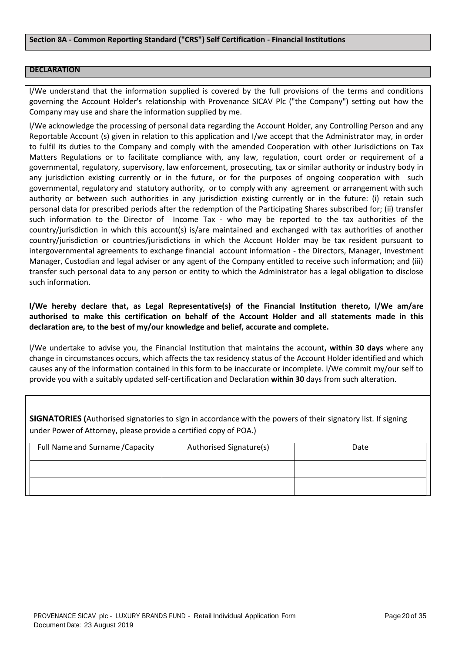### **DECLARATION**

l/We understand that the information supplied is covered by the full provisions of the terms and conditions governing the Account Holder's relationship with Provenance SICAV Plc ("the Company") setting out how the Company may use and share the information supplied by me.

l/We acknowledge the processing of personal data regarding the Account Holder, any Controlling Person and any Reportable Account (s) given in relation to this application and I/we accept that the Administrator may, in order to fulfil its duties to the Company and comply with the amended Cooperation with other Jurisdictions on Tax Matters Regulations or to facilitate compliance with, any law, regulation, court order or requirement of a governmental, regulatory, supervisory, law enforcement, prosecuting, tax or similar authority or industry body in any jurisdiction existing currently or in the future, or for the purposes of ongoing cooperation with such governmental, regulatory and statutory authority, or to comply with any agreement or arrangement with such authority or between such authorities in any jurisdiction existing currently or in the future: (i) retain such personal data for prescribed periods after the redemption of the Participating Shares subscribed for; (ii) transfer such information to the Director of Income Tax - who may be reported to the tax authorities of the country/jurisdiction in which this account(s) is/are maintained and exchanged with tax authorities of another country/jurisdiction or countries/jurisdictions in which the Account Holder may be tax resident pursuant to intergovernmental agreements to exchange financial account information - the Directors, Manager, Investment Manager, Custodian and legal adviser or any agent of the Company entitled to receive such information; and (iii) transfer such personal data to any person or entity to which the Administrator has a legal obligation to disclose such information.

**l/We hereby declare that, as Legal Representative(s) of the Financial Institution thereto, l/We am/are authorised to make this certification on behalf of the Account Holder and all statements made in this declaration are, to the best of my/our knowledge and belief, accurate and complete.**

l/We undertake to advise you, the Financial Institution that maintains the account**, within 30 days** where any change in circumstances occurs, which affects the tax residency status of the Account Holder identified and which causes any of the information contained in this form to be inaccurate or incomplete. l/We commit my/our self to provide you with a suitably updated self-certification and Declaration **within 30** days from such alteration.

**SIGNATORIES (**Authorised signatories to sign in accordance with the powers of their signatory list. If signing under Power of Attorney, please provide a certified copy of POA.)

| Full Name and Surname / Capacity | Authorised Signature(s) | Date |
|----------------------------------|-------------------------|------|
|                                  |                         |      |
|                                  |                         |      |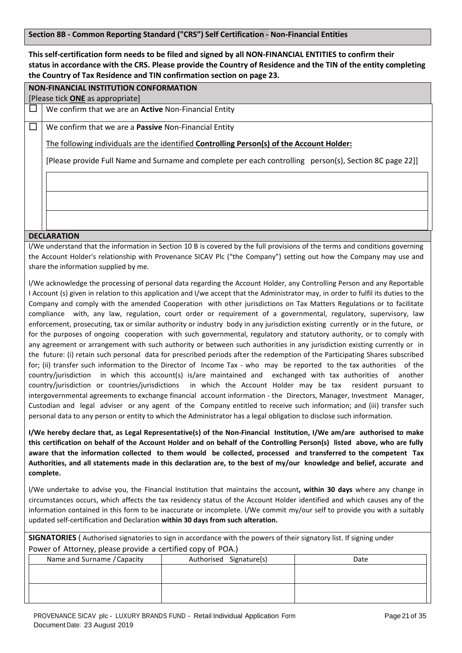**Section 8B - Common Reporting Standard ("CRS") Self Certification - Non-Financial Entities**

**This self-certification form needs to be filed and signed by all NON-FINANCIAL ENTITIES to confirm their status in accordance with the CRS. Please provide the Country of Residence and the TIN of the entity completing the Country of Tax Residence and TIN confirmation section on page 23.**

**NON-FINANCIAL INSTITUTION CONFORMATION** 

[Please tick **ONE** as appropriate]

We confirm that we are an **Active** Non-Financial Entity

We confirm that we are a **Passive** Non-Financial Entity

The following individuals are the identified **Controlling Person(s) of the Account Holder:**

[Please provide Full Name and Surname and complete per each controlling person(s), Section 8C page 22]]

### **DECLARATION**

l/We understand that the information in Section 10 B is covered by the full provisions of the terms and conditions governing the Account Holder's relationship with Provenance SICAV Plc ("the Company") setting out how the Company may use and share the information supplied by me.

l/We acknowledge the processing of personal data regarding the Account Holder, any Controlling Person and any Reportable I Account (s) given in relation to this application and I/we accept that the Administrator may, in order to fulfil its duties to the Company and comply with the amended Cooperation with other jurisdictions on Tax Matters Regulations or to facilitate compliance with, any law, regulation, court order or requirement of a governmental, regulatory, supervisory, law enforcement, prosecuting, tax or similar authority or industry body in any jurisdiction existing currently or in the future, or for the purposes of ongoing cooperation with such governmental, regulatory and statutory authority, or to comply with any agreement or arrangement with such authority or between such authorities in any jurisdiction existing currently or in the future: (i) retain such personal data for prescribed periods after the redemption of the Participating Shares subscribed for; (ii) transfer such information to the Director of Income Tax - who may be reported to the tax authorities of the country/jurisdiction in which this account(s) is/are maintained and exchanged with tax authorities of another country/jurisdiction or countries/jurisdictions in which the Account Holder may be tax resident pursuant to intergovernmental agreements to exchange financial account information - the Directors, Manager, Investment Manager, Custodian and legal adviser or any agent of the Company entitled to receive such information; and (iii) transfer such personal data to any person or entity to which the Administrator has a legal obligation to disclose such information.

**I/We hereby declare that, as Legal Representative(s) of the Non-Financial Institution, I/We am/are authorised to make this certification on behalf of the Account Holder and on behalf of the Controlling Person(s) listed above, who are fully aware that the information collected to them would be collected, processed and transferred to the competent Tax Authorities, and all statements made in this declaration are, to the best of my/our knowledge and belief, accurate and complete.**

l/We undertake to advise you, the Financial Institution that maintains the account**, within 30 days** where any change in circumstances occurs, which affects the tax residency status of the Account Holder identified and which causes any of the information contained in this form to be inaccurate or incomplete. l/We commit my/our self to provide you with a suitably updated self-certification and Declaration **within 30 days from such alteration.**

**SIGNATORIES** ( Authorised signatories to sign in accordance with the powers of their signatory list. If signing under Power of Attorney, please provide a certified copy of POA.)

| Name and Surname / Capacity | Authorised Signature{s) | Date |  |  |
|-----------------------------|-------------------------|------|--|--|
|                             |                         |      |  |  |
|                             |                         |      |  |  |
|                             |                         |      |  |  |
|                             |                         |      |  |  |
|                             |                         |      |  |  |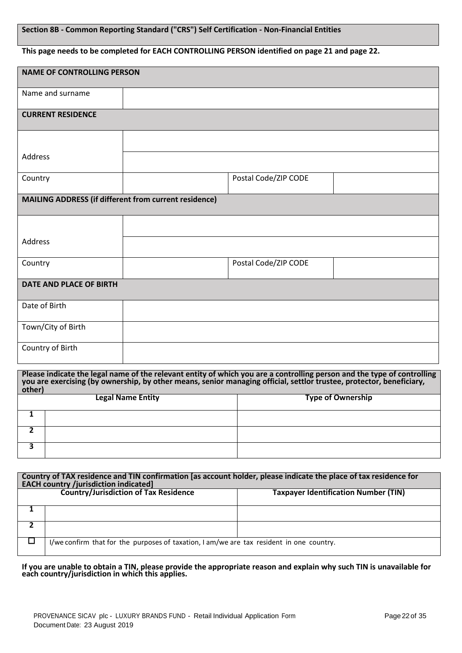# **Section 8B - Common Reporting Standard ("CRS") Self Certification - Non-Financial Entities**

### **This page needs to be completed for EACH CONTROLLING PERSON identified on page 21 and page 22.**

| <b>NAME OF CONTROLLING PERSON</b>                                                                                                                                                                                                                         |                          |                          |  |
|-----------------------------------------------------------------------------------------------------------------------------------------------------------------------------------------------------------------------------------------------------------|--------------------------|--------------------------|--|
|                                                                                                                                                                                                                                                           |                          |                          |  |
|                                                                                                                                                                                                                                                           |                          |                          |  |
|                                                                                                                                                                                                                                                           |                          |                          |  |
|                                                                                                                                                                                                                                                           |                          |                          |  |
|                                                                                                                                                                                                                                                           | Postal Code/ZIP CODE     |                          |  |
| <b>MAILING ADDRESS (if different from current residence)</b>                                                                                                                                                                                              |                          |                          |  |
|                                                                                                                                                                                                                                                           |                          |                          |  |
|                                                                                                                                                                                                                                                           |                          |                          |  |
|                                                                                                                                                                                                                                                           | Postal Code/ZIP CODE     |                          |  |
| DATE AND PLACE OF BIRTH                                                                                                                                                                                                                                   |                          |                          |  |
|                                                                                                                                                                                                                                                           |                          |                          |  |
|                                                                                                                                                                                                                                                           |                          |                          |  |
|                                                                                                                                                                                                                                                           |                          |                          |  |
| Please indicate the legal name of the relevant entity of which you are a controlling person and the type of controlling<br>you are exercising (by ownership, by other means, senior managing official, settlor trustee, protector, beneficiary,<br>other) |                          |                          |  |
|                                                                                                                                                                                                                                                           |                          | <b>Type of Ownership</b> |  |
|                                                                                                                                                                                                                                                           |                          |                          |  |
|                                                                                                                                                                                                                                                           |                          |                          |  |
|                                                                                                                                                                                                                                                           | <b>Legal Name Entity</b> |                          |  |

| Country of TAX residence and TIN confirmation [as account holder, please indicate the place of tax residence for<br><b>EACH country /jurisdiction indicated]</b> |                                                                                             |  |  |  |
|------------------------------------------------------------------------------------------------------------------------------------------------------------------|---------------------------------------------------------------------------------------------|--|--|--|
|                                                                                                                                                                  | <b>Country/Jurisdiction of Tax Residence</b><br><b>Taxpayer Identification Number (TIN)</b> |  |  |  |
|                                                                                                                                                                  |                                                                                             |  |  |  |
|                                                                                                                                                                  |                                                                                             |  |  |  |
|                                                                                                                                                                  | I/we confirm that for the purposes of taxation, I am/we are tax resident in one country.    |  |  |  |

**If you are unable to obtain a TIN, please provide the appropriate reason and explain why such TIN is unavailable for each country/jurisdiction in which this applies.**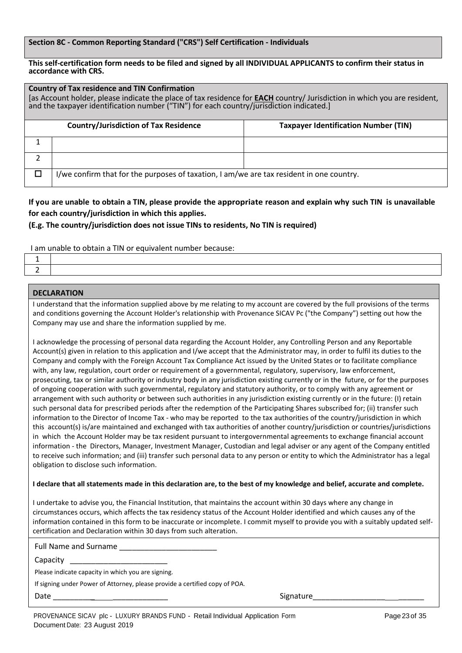#### **Section 8C - Common Reporting Standard ("CRS") Self Certification - Individuals**

#### **This self-certification form needs to be filed and signed by all INDIVIDUAL APPLICANTS to confirm their status in accordance with CRS.**

| <b>Country of Tax residence and TIN Confirmation</b><br>[as Account holder, please indicate the place of tax residence for <b>EACH</b> country/ Jurisdiction in which you are resident,<br>and the taxpayer identification number ("TIN") for each country/jurisdiction indicated.] |                                                                                          |                                             |  |  |
|-------------------------------------------------------------------------------------------------------------------------------------------------------------------------------------------------------------------------------------------------------------------------------------|------------------------------------------------------------------------------------------|---------------------------------------------|--|--|
|                                                                                                                                                                                                                                                                                     | <b>Country/Jurisdiction of Tax Residence</b>                                             | <b>Taxpayer Identification Number (TIN)</b> |  |  |
|                                                                                                                                                                                                                                                                                     |                                                                                          |                                             |  |  |
|                                                                                                                                                                                                                                                                                     |                                                                                          |                                             |  |  |
|                                                                                                                                                                                                                                                                                     | I/we confirm that for the purposes of taxation, I am/we are tax resident in one country. |                                             |  |  |

**If you are unable to obtain a TIN, please provide the appropriate reason and explain why such TIN is unavailable for each country/jurisdiction in which this applies.**

# **(E.g. The country/jurisdiction does not issue TINs to residents, No TIN is required)**

I am unable to obtain a TIN or equivalent number because:

### **DECLARATION**

I understand that the information supplied above by me relating to my account are covered by the full provisions of the terms and conditions governing the Account Holder's relationship with Provenance SICAV Pc ("the Company") setting out how the Company may use and share the information supplied by me.

I acknowledge the processing of personal data regarding the Account Holder, any Controlling Person and any Reportable Account(s) given in relation to this application and I/we accept that the Administrator may, in order to fulfil its duties to the Company and comply with the Foreign Account Tax Compliance Act issued by the United States or to facilitate compliance with, any law, regulation, court order or requirement of a governmental, regulatory, supervisory, law enforcement, prosecuting, tax or similar authority or industry body in any jurisdiction existing currently or in the future, or for the purposes of ongoing cooperation with such governmental, regulatory and statutory authority, or to comply with any agreement or arrangement with such authority or between such authorities in any jurisdiction existing currently or in the future: (I) retain such personal data for prescribed periods after the redemption of the Participating Shares subscribed for; (ii) transfer such information to the Director of Income Tax - who may be reported to the tax authorities of the country/jurisdiction in which this account(s) is/are maintained and exchanged with tax authorities of another country/jurisdiction or countries/jurisdictions in which the Account Holder may be tax resident pursuant to intergovernmental agreements to exchange financial account information - the Directors, Manager, Investment Manager, Custodian and legal adviser or any agent of the Company entitled to receive such information; and (iii) transfer such personal data to any person or entity to which the Administrator has a legal obligation to disclose such information.

#### I declare that all statements made in this declaration are, to the best of my knowledge and belief, accurate and complete.

I undertake to advise you, the Financial Institution, that maintains the account within 30 days where any change in circumstances occurs, which affects the tax residency status of the Account Holder identified and which causes any of the information contained in this form to be inaccurate or incomplete. I commit myself to provide you with a suitably updated selfcertification and Declaration within 30 days from such alteration.

Full Name and Surname

Capacity \_\_\_\_\_\_\_\_\_\_\_\_\_\_\_\_\_\_\_\_\_\_\_

Please indicate capacity in which you are signing.

If signing under Power of Attorney, please provide a certified copy of POA.

Date \_\_\_\_\_\_\_\_\_*\_* \_\_\_\_\_\_\_\_\_\_\_\_\_ Signature\_\_\_\_\_\_\_\_\_\_\_\_\_\_\_\_\_ \_\_\_\_\_\_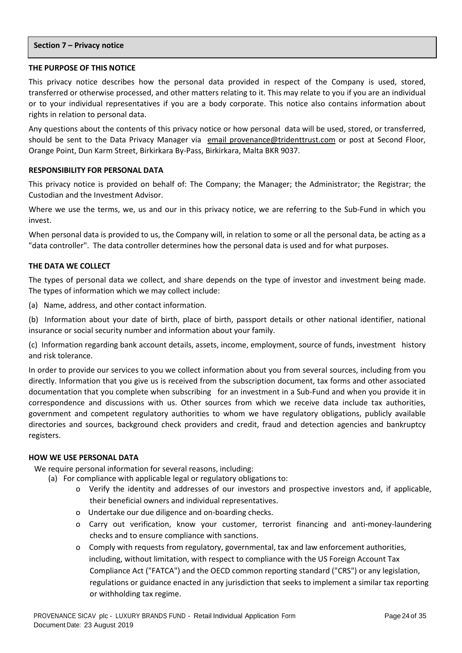#### **Section 7 – Privacy notice**

### **THE PURPOSE OF THIS NOTICE**

This privacy notice describes how the personal data provided in respect of the Company is used, stored, transferred or otherwise processed, and other matters relating to it. This may relate to you if you are an individual or to your individual representatives if you are a body corporate. This notice also contains information about rights in relation to personal data.

Any questions about the contents of this privacy notice or how personal data will be used, stored, or transferred, should be sent to the Data Privacy Manager via email [provenance@tridenttrust.com](mailto:provenance@tridenttrust.com) or post at Second Floor, Orange Point, Dun Karm Street, Birkirkara By-Pass, Birkirkara, Malta BKR 9037.

# **RESPONSIBILITY FOR PERSONAL DATA**

This privacy notice is provided on behalf of: The Company; the Manager; the Administrator; the Registrar; the Custodian and the Investment Advisor.

Where we use the terms, we, us and our in this privacy notice, we are referring to the Sub-Fund in which you invest.

When personal data is provided to us, the Company will, in relation to some or all the personal data, be acting as a "data controller". The data controller determines how the personal data is used and for what purposes.

### **THE DATA WE COLLECT**

The types of personal data we collect, and share depends on the type of investor and investment being made. The types of information which we may collect include:

(a) Name, address, and other contact information.

(b) Information about your date of birth, place of birth, passport details or other national identifier, national insurance or social security number and information about your family.

(c) Information regarding bank account details, assets, income, employment, source of funds, investment history and risk tolerance.

In order to provide our services to you we collect information about you from several sources, including from you directly. Information that you give us is received from the subscription document, tax forms and other associated documentation that you complete when subscribing for an investment in a Sub-Fund and when you provide it in correspondence and discussions with us. Other sources from which we receive data include tax authorities, government and competent regulatory authorities to whom we have regulatory obligations, publicly available directories and sources, background check providers and credit, fraud and detection agencies and bankruptcy registers.

#### **HOW WE USE PERSONAL DATA**

We require personal information for several reasons, including:

- (a) For compliance with applicable legal or regulatory obligations to:
	- o Verify the identity and addresses of our investors and prospective investors and, if applicable, their beneficial owners and individual representatives.
	- o Undertake our due diligence and on-boarding checks.
	- o Carry out verification, know your customer, terrorist financing and anti-money-laundering checks and to ensure compliance with sanctions.
	- o Comply with requests from regulatory, governmental, tax and law enforcement authorities, including, without limitation, with respect to compliance with the US Foreign Account Tax Compliance Act ("FATCA") and the OECD common reporting standard ("CRS") or any legislation, regulations or guidance enacted in any jurisdiction that seeks to implement a similar tax reporting or withholding tax regime.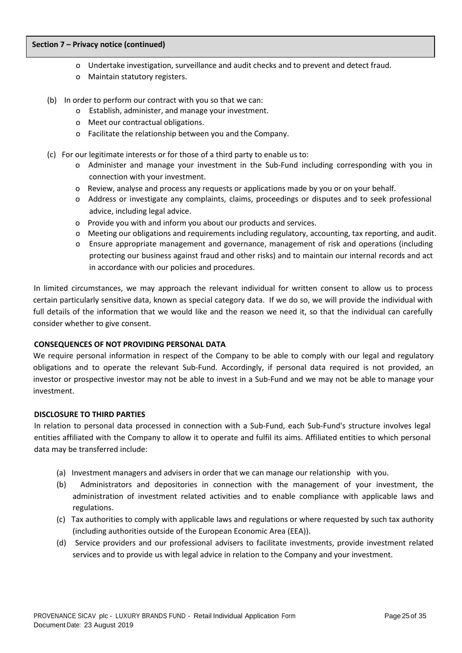#### **Section 7 – Privacy notice (continued)**

- o Undertake investigation, surveillance and audit checks and to prevent and detect fraud.
- o Maintain statutory registers.
- (b) In order to perform our contract with you so that we can:
	- o Establish, administer, and manage your investment.
	- o Meet our contractual obligations.
	- o Facilitate the relationship between you and the Company.
- (c) For our legitimate interests or for those of a third party to enable us to:
	- o Administer and manage your investment in the Sub-Fund including corresponding with you in connection with your investment.
	- o Review, analyse and process any requests or applications made by you or on your behalf.
	- o Address or investigate any complaints, claims, proceedings or disputes and to seek professional advice, including legal advice.
	- o Provide you with and inform you about our products and services.
	- o Meeting our obligations and requirements including regulatory, accounting, tax reporting, and audit.
	- o Ensure appropriate management and governance, management of risk and operations (including protecting our business against fraud and other risks) and to maintain our internal records and act in accordance with our policies and procedures.

In limited circumstances, we may approach the relevant individual for written consent to allow us to process certain particularly sensitive data, known as special category data. If we do so, we will provide the individual with full details of the information that we would like and the reason we need it, so that the individual can carefully consider whether to give consent.

# **CONSEQUENCES OF NOT PROVIDING PERSONAL DATA**

We require personal information in respect of the Company to be able to comply with our legal and regulatory obligations and to operate the relevant Sub-Fund. Accordingly, if personal data required is not provided, an investor or prospective investor may not be able to invest in a Sub-Fund and we may not be able to manage your investment.

# **DISCLOSURE TO THIRD PARTIES**

In relation to personal data processed in connection with a Sub-Fund, each Sub-Fund's structure involves legal entities affiliated with the Company to allow it to operate and fulfil its aims. Affiliated entities to which personal data may be transferred include:

- (a) Investment managers and advisers in order that we can manage our relationship with you.
- (b) Administrators and depositories in connection with the management of your investment, the administration of investment related activities and to enable compliance with applicable laws and regulations.
- (c) Tax authorities to comply with applicable laws and regulations or where requested by such tax authority (including authorities outside of the European Economic Area (EEA)).
- (d) Service providers and our professional advisers to facilitate investments, provide investment related services and to provide us with legal advice in relation to the Company and your investment.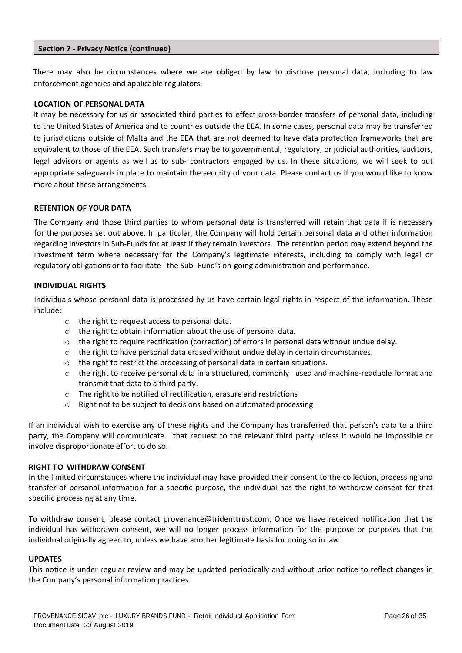### **Section 7 - Privacy Notice (continued)**

There may also be circumstances where we are obliged by law to disclose personal data, including to law enforcement agencies and applicable regulators.

### **LOCATION OF PERSONAL DATA**

It may be necessary for us or associated third parties to effect cross-border transfers of personal data, including to the United States of America and to countries outside the EEA. In some cases, personal data may be transferred to jurisdictions outside of Malta and the EEA that are not deemed to have data protection frameworks that are equivalent to those of the EEA. Such transfers may be to governmental, regulatory, or judicial authorities, auditors, legal advisors or agents as well as to sub- contractors engaged by us. In these situations, we will seek to put appropriate safeguards in place to maintain the security of your data. Please contact us if you would like to know more about these arrangements.

### **RETENTION OF YOUR DATA**

The Company and those third parties to whom personal data is transferred will retain that data if is necessary for the purposes set out above. In particular, the Company will hold certain personal data and other information regarding investors in Sub-Funds for at least if they remain investors. The retention period may extend beyond the investment term where necessary for the Company's legitimate interests, including to comply with legal or regulatory obligations or to facilitate the Sub- Fund's on-going administration and performance.

### **INDIVIDUAL RIGHTS**

Individuals whose personal data is processed by us have certain legal rights in respect of the information. These include:

- o the right to request access to personal data.
- o the right to obtain information about the use of personal data.
- $\circ$  the right to require rectification (correction) of errors in personal data without undue delay.
- $\circ$  the right to have personal data erased without undue delay in certain circumstances.
- $\circ$  the right to restrict the processing of personal data in certain situations.
- $\circ$  the right to receive personal data in a structured, commonly used and machine-readable format and transmit that data to a third party.
- o The right to be notified of rectification, erasure and restrictions
- o Right not to be subject to decisions based on automated processing

If an individual wish to exercise any of these rights and the Company has transferred that person's data to a third party, the Company will communicate that request to the relevant third party unless it would be impossible or involve disproportionate effort to do so.

#### **RIGHT TO WITHDRAW CONSENT**

In the limited circumstances where the individual may have provided their consent to the collection, processing and transfer of personal information for a specific purpose, the individual has the right to withdraw consent for that specific processing at any time.

To withdraw consent, please contact [provenance@tridenttrust.com.](mailto:provenance@tridenttrust.com) Once we have received notification that the individual has withdrawn consent, we will no longer process information for the purpose or purposes that the individual originally agreed to, unless we have another legitimate basis for doing so in law.

# **UPDATES**

This notice is under regular review and may be updated periodically and without prior notice to reflect changes in the Company's personal information practices.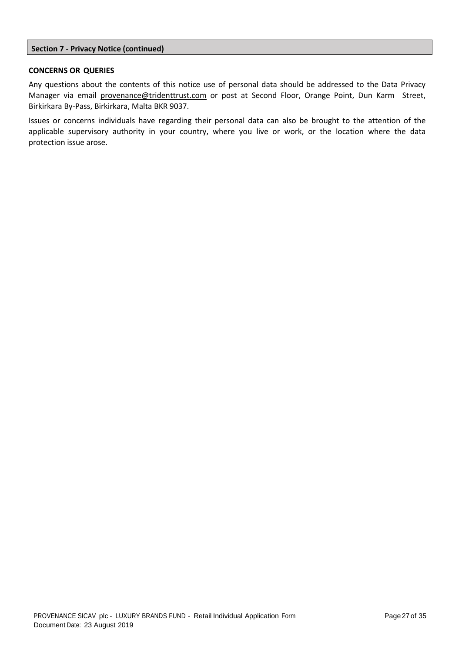### **Section 7 - Privacy Notice (continued)**

### **CONCERNS OR QUERIES**

Any questions about the contents of this notice use of personal data should be addressed to the Data Privacy Manager via email [provenance@tridenttrust.com](mailto:provenance@tridenttrust.com) or post at Second Floor, Orange Point, Dun Karm Street, Birkirkara By-Pass, Birkirkara, Malta BKR 9037.

Issues or concerns individuals have regarding their personal data can also be brought to the attention of the applicable supervisory authority in your country, where you live or work, or the location where the data protection issue arose.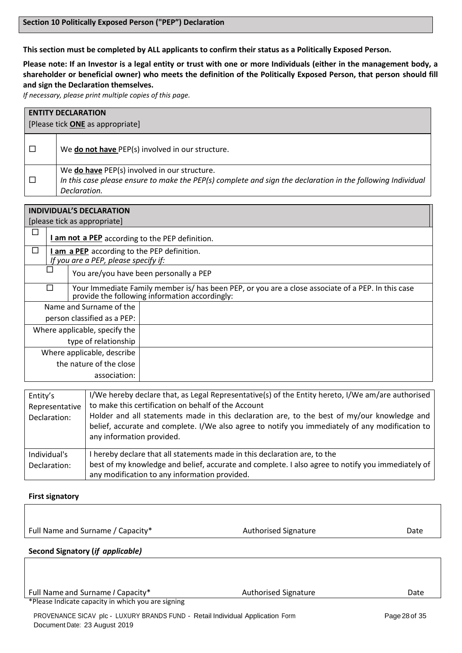**This section must be completed by ALL applicants to confirm their status as a Politically Exposed Person.**

**Please note: If an Investor is a legal entity or trust with one or more Individuals (either in the management body, a shareholder or beneficial owner) who meets the definition of the Politically Exposed Person, that person should fill and sign the Declaration themselves.**

*If necessary, please print multiple copies of this page.*

| <b>ENTITY DECLARATION</b><br>[Please tick ONE as appropriate] |                                                                                                                                                                             |  |
|---------------------------------------------------------------|-----------------------------------------------------------------------------------------------------------------------------------------------------------------------------|--|
|                                                               | We do not have PEP(s) involved in our structure.                                                                                                                            |  |
|                                                               | We do have PEP(s) involved in our structure.<br>In this case please ensure to make the PEP(s) complete and sign the declaration in the following Individual<br>Declaration. |  |
|                                                               |                                                                                                                                                                             |  |

| <b>INDIVIDUAL'S DECLARATION</b> |                                                                                                                                                      |  |  |  |  |
|---------------------------------|------------------------------------------------------------------------------------------------------------------------------------------------------|--|--|--|--|
|                                 | [please tick as appropriate]                                                                                                                         |  |  |  |  |
|                                 | <b>I am not a PEP</b> according to the PEP definition.                                                                                               |  |  |  |  |
| $\mathbf{r}$                    | I am a PEP according to the PEP definition.<br>If you are a PEP, please specify if:                                                                  |  |  |  |  |
|                                 | You are/you have been personally a PEP                                                                                                               |  |  |  |  |
| П                               | Your Immediate Family member is/ has been PEP, or you are a close associate of a PEP. In this case<br>provide the following information accordingly: |  |  |  |  |
|                                 | Name and Surname of the                                                                                                                              |  |  |  |  |
|                                 | person classified as a PEP:                                                                                                                          |  |  |  |  |
|                                 | Where applicable, specify the                                                                                                                        |  |  |  |  |
|                                 | type of relationship                                                                                                                                 |  |  |  |  |
|                                 | Where applicable, describe                                                                                                                           |  |  |  |  |
|                                 | the nature of the close                                                                                                                              |  |  |  |  |
| association:                    |                                                                                                                                                      |  |  |  |  |
|                                 |                                                                                                                                                      |  |  |  |  |

| Entity's       | I/We hereby declare that, as Legal Representative(s) of the Entity hereto, I/We am/are authorised<br>to make this certification on behalf of the Account                                                                    |
|----------------|-----------------------------------------------------------------------------------------------------------------------------------------------------------------------------------------------------------------------------|
| Representative |                                                                                                                                                                                                                             |
| Declaration:   | Holder and all statements made in this declaration are, to the best of my/our knowledge and<br>belief, accurate and complete. I/We also agree to notify you immediately of any modification to<br>any information provided. |
| Individual's   | I hereby declare that all statements made in this declaration are, to the                                                                                                                                                   |
| Declaration:   | best of my knowledge and belief, accurate and complete. I also agree to notify you immediately of<br>any modification to any information provided.                                                                          |

#### **First signatory**

Full Name and Surname / Capacity\* The Controller of Authorised Signature The Mate

**Second Signatory (***if applicable)*

Full Name and Surname *I* Capacity\* The Controller and Surname *I* Capacity\* Authorised Signature Controller and Surname *I* Cate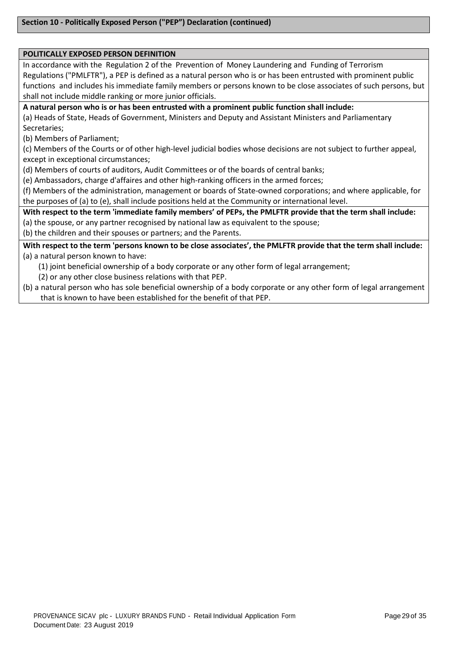#### **POLITICALLY EXPOSED PERSON DEFINITION**

In accordance with the Regulation 2 of the Prevention of Money Laundering and Funding of Terrorism Regulations ("PMLFTR"), a PEP is defined as a natural person who is or has been entrusted with prominent public functions and includes his immediate family members or persons known to be close associates of such persons, but shall not include middle ranking or more junior officials.

**A natural person who is or has been entrusted with a prominent public function shall include:**

(a) Heads of State, Heads of Government, Ministers and Deputy and Assistant Ministers and Parliamentary Secretaries;

(b) Members of Parliament;

(c) Members of the Courts or of other high-level judicial bodies whose decisions are not subject to further appeal, except in exceptional circumstances;

(d) Members of courts of auditors, Audit Committees or of the boards of central banks;

(e) Ambassadors, charge d'affaires and other high-ranking officers in the armed forces;

(f) Members of the administration, management or boards of State-owned corporations; and where applicable, for the purposes of (a) to (e), shall include positions held at the Community or international level.

**With respect to the term 'immediate family members' of PEPs, the PMLFTR provide that the term shall include:**  (a) the spouse, or any partner recognised by national law as equivalent to the spouse;

(b) the children and their spouses or partners; and the Parents.

**With respect to the term 'persons known to be close associates', the PMLFTR provide that the term shall include:** (a) a natural person known to have:

(1) joint beneficial ownership of a body corporate or any other form of legal arrangement;

(2) or any other close business relations with that PEP.

(b) a natural person who has sole beneficial ownership of a body corporate or any other form of legal arrangement that is known to have been established for the benefit of that PEP.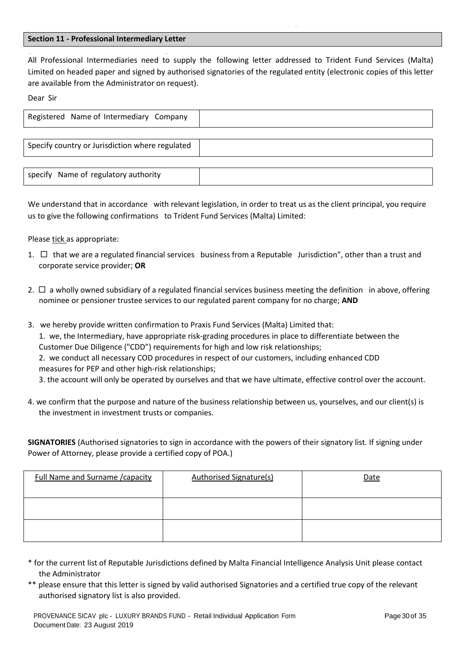### **Section 11 - Professional Intermediary Letter**

- -

-- -- All Professional Intermediaries need to supply the following letter addressed to Trident Fund Services (Malta) Limited on headed paper and signed by authorised signatories of the regulated entity (electronic copies of this letter are available from the Administrator on request).

Dear Sir

I

| Registered Name of Intermediary Company         |  |
|-------------------------------------------------|--|
|                                                 |  |
| Specify country or Jurisdiction where regulated |  |
|                                                 |  |
| specify Name of regulatory authority            |  |

We understand that in accordance with relevant legislation, in order to treat us as the client principal, you require us to give the following confirmations to Trident Fund Services (Malta) Limited:

Please tick as appropriate:

- 1.  $\Box$  that we are a regulated financial services business from a Reputable Jurisdiction", other than a trust and corporate service provider; **OR**
- 2.  $\Box$  a wholly owned subsidiary of a regulated financial services business meeting the definition in above, offering nominee or pensioner trustee services to our regulated parent company for no charge; **AND**
- 3. we hereby provide written confirmation to Praxis Fund Services (Malta) Limited that: 1. we, the Intermediary, have appropriate risk-grading procedures in place to differentiate between the Customer Due Diligence ("CDD") requirements for high and low risk relationships; 2. we conduct all necessary COD procedures in respect of our customers, including enhanced CDD measures for PEP and other high-risk relationships; 3. the account will only be operated by ourselves and that we have ultimate, effective control over the account.
- 4. we confirm that the purpose and nature of the business relationship between us, yourselves, and our client(s) is the investment in investment trusts or companies.

**SIGNATORIES** (Authorised signatories to sign in accordance with the powers of their signatory list. If signing under Power of Attorney, please provide a certified copy of POA.)

| Full Name and Surname / capacity | <b>Authorised Signature(s)</b> | Date |
|----------------------------------|--------------------------------|------|
|                                  |                                |      |
|                                  |                                |      |

- \* for the current list of Reputable Jurisdictions defined by Malta Financial Intelligence Analysis Unit please contact the Administrator
- \*\* please ensure that this letter is signed by valid authorised Signatories and a certified true copy of the relevant authorised signatory list is also provided.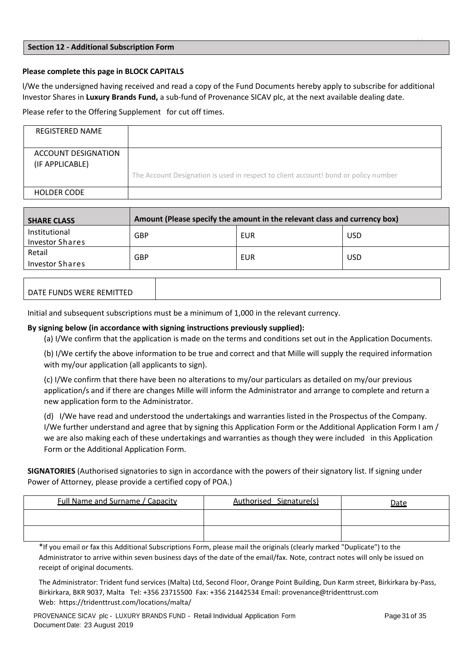#### **Section 12 - Additional Subscription Form**

### **Please complete this page in BLOCK CAPITALS**

l/We the undersigned having received and read a copy of the Fund Documents hereby apply to subscribe for additional Investor Shares in **Luxury Brands Fund,** a sub-fund of Provenance SICAV plc, at the next available dealing date.

Please refer to the Offering Supplement for cut off times.

| REGISTERED NAME                        |                                                                                     |
|----------------------------------------|-------------------------------------------------------------------------------------|
| ACCOUNT DESIGNATION<br>(IF APPLICABLE) | The Account Designation is used in respect to client account! bond or policy number |
| <b>HOLDER CODE</b>                     |                                                                                     |

| <b>SHARE CLASS</b>                      | Amount (Please specify the amount in the relevant class and currency box) |     |            |  |
|-----------------------------------------|---------------------------------------------------------------------------|-----|------------|--|
| Institutional<br><b>Investor Shares</b> | GBP                                                                       | EUR | <b>USD</b> |  |
| Retail<br>Investor Shares               | GBP                                                                       | EUR | <b>USD</b> |  |

| DATE FUNDS WERE REMITTED |  |
|--------------------------|--|

Initial and subsequent subscriptions must be a minimum of 1,000 in the relevant currency.

# **By signing below (in accordance with signing instructions previously supplied):**

(a) I/We confirm that the application is made on the terms and conditions set out in the Application Documents.

(b) I/We certify the above information to be true and correct and that Mille will supply the required information with my/our application (all applicants to sign).

(c) I/We confirm that there have been no alterations to my/our particulars as detailed on my/our previous application/s and if there are changes Mille will inform the Administrator and arrange to complete and return a new application form to the Administrator.

(d) I/We have read and understood the undertakings and warranties listed in the Prospectus of the Company. I/We further understand and agree that by signing this Application Form or the Additional Application Form I am / we are also making each of these undertakings and warranties as though they were included in this Application Form or the Additional Application Form.

**SIGNATORIES** (Authorised signatories to sign in accordance with the powers of their signatory list. If signing under Power of Attorney, please provide a certified copy of POA.)

| Full Name and Surname / Capacity | Authorised Signature(s) | <u>Date</u> |
|----------------------------------|-------------------------|-------------|
|                                  |                         |             |
|                                  |                         |             |

\*If you email or fax this Additional Subscriptions Form, please mail the originals (clearly marked "Duplicate") to the Administrator to arrive within seven business days of the date of the email/fax. Note, contract notes will only be issued on receipt of original documents.

The Administrator: Trident fund services (Malta) Ltd, Second Floor, Orange Point Building, Dun Karm street, Birkirkara by-Pass, Birkirkara, BKR 9037, Malta Tel: +356 23715500 Fax: +356 21442534 Email: [provenance@tridenttrust.com](mailto:provenance@tridenttrust.com)  Web: https://tridenttrust.com/locations/malta/

- -